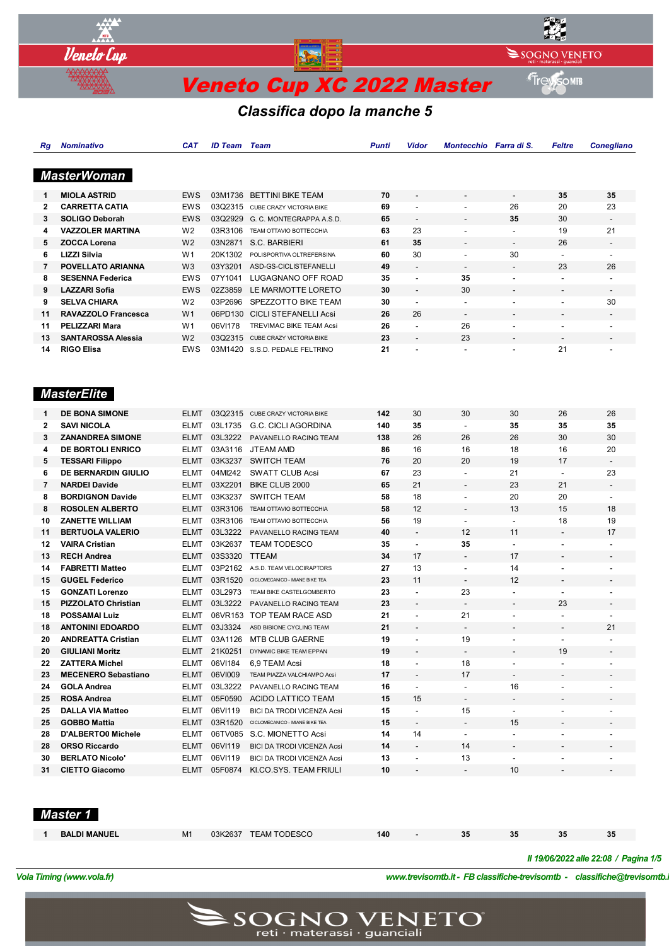

# *Classifica dopo la manche 5*

| Rg             | <b>Nominativo</b>          | <b>CAT</b>     | <b>ID Team Team</b> |                                     | <b>Punti</b> | Vidor                    | Montecchio Farra di S.   |                              | Feltre                   | <b>Conegliano</b>        |
|----------------|----------------------------|----------------|---------------------|-------------------------------------|--------------|--------------------------|--------------------------|------------------------------|--------------------------|--------------------------|
|                |                            |                |                     |                                     |              |                          |                          |                              |                          |                          |
|                | <b>MasterWoman</b>         |                |                     |                                     |              |                          |                          |                              |                          |                          |
|                |                            |                |                     |                                     |              |                          |                          |                              |                          |                          |
| 1              | <b>MIOLA ASTRID</b>        | <b>EWS</b>     |                     | 03M1736 BETTINI BIKE TEAM           | 70           |                          |                          | $\overline{\phantom{a}}$     | 35                       | 35                       |
| $\mathbf{2}$   | <b>CARRETTA CATIA</b>      | <b>EWS</b>     |                     | 03Q2315 CUBE CRAZY VICTORIA BIKE    | 69           | $\blacksquare$           | $\blacksquare$           | 26                           | 20                       | 23                       |
| 3              | <b>SOLIGO Deborah</b>      | <b>EWS</b>     | 03Q2929             | G. C. MONTEGRAPPA A.S.D.            | 65           |                          |                          | 35                           | 30                       |                          |
| 4              | <b>VAZZOLER MARTINA</b>    | W <sub>2</sub> | 03R3106             | TEAM OTTAVIO BOTTECCHIA             | 63           | 23                       | $\overline{\phantom{a}}$ |                              | 19                       | 21                       |
| 5              | <b>ZOCCA Lorena</b>        | W <sub>2</sub> | 03N2871             | S.C. BARBIERI                       | 61           | 35                       |                          |                              | 26                       |                          |
| 6              | <b>LIZZI Silvia</b>        | W <sub>1</sub> | 20K1302             | POLISPORTIVA OLTREFERSINA           | 60           | 30                       | $\overline{\phantom{a}}$ | 30                           | $\overline{\phantom{a}}$ | $\overline{\phantom{a}}$ |
| $\overline{7}$ | POVELLATO ARIANNA          | W <sub>3</sub> | 03Y3201             | ASD-GS-CICLISTEFANELLI              | 49           |                          |                          |                              | 23                       | 26                       |
| 8              | <b>SESENNA Federica</b>    | <b>EWS</b>     | 07Y1041             | LUGAGNANO OFF ROAD                  | 35           | $\blacksquare$           | 35                       | ÷,                           | $\overline{\phantom{a}}$ | $\blacksquare$           |
| 9              | <b>LAZZARI Sofia</b>       | <b>EWS</b>     | 02Z3859             | LE MARMOTTE LORETO                  | 30           | $\overline{a}$           | 30                       |                              |                          | $\blacksquare$           |
| 9              | <b>SELVA CHIARA</b>        | W <sub>2</sub> | 03P2696             | SPEZZOTTO BIKE TEAM                 | 30           | $\overline{\phantom{a}}$ | $\overline{\phantom{a}}$ | $\overline{a}$               | $\overline{\phantom{a}}$ | 30                       |
| 11             | <b>RAVAZZOLO Francesca</b> | W <sub>1</sub> | 06PD130             | <b>CICLI STEFANELLI Acsi</b>        | 26           | 26                       |                          |                              |                          |                          |
| 11             | <b>PELIZZARI Mara</b>      | W1             | 06VI178             | <b>TREVIMAC BIKE TEAM Acsi</b>      | 26           | $\overline{a}$           | 26                       | ÷,                           | $\overline{\phantom{a}}$ |                          |
| 13             | <b>SANTAROSSA Alessia</b>  | W <sub>2</sub> |                     | 03Q2315 CUBE CRAZY VICTORIA BIKE    | 23           |                          | 23                       |                              |                          |                          |
| 14             | <b>RIGO Elisa</b>          | EWS            |                     | 03M1420 S.S.D. PEDALE FELTRINO      | 21           |                          | $\blacksquare$           | ٠                            | 21                       |                          |
|                |                            |                |                     |                                     |              |                          |                          |                              |                          |                          |
|                |                            |                |                     |                                     |              |                          |                          |                              |                          |                          |
|                |                            |                |                     |                                     |              |                          |                          |                              |                          |                          |
|                | <b>MasterElite</b>         |                |                     |                                     |              |                          |                          |                              |                          |                          |
| 1              | <b>DE BONA SIMONE</b>      | <b>ELMT</b>    |                     | 03Q2315 CUBE CRAZY VICTORIA BIKE    | 142          | 30                       | 30                       | 30                           | 26                       | 26                       |
| 2              | <b>SAVI NICOLA</b>         | ELMT           | 03L1735             | G.C. CICLI AGORDINA                 | 140          | 35                       | $\overline{\phantom{a}}$ | 35                           | 35                       | 35                       |
| 3              | <b>ZANANDREA SIMONE</b>    | <b>ELMT</b>    | 03L3222             | PAVANELLO RACING TEAM               | 138          | 26                       | 26                       | 26                           | 30                       | 30                       |
| 4              | DE BORTOLI ENRICO          | ELMT           | 03A3116             | JTEAM AMD                           | 86           | 16                       | 16                       | 18                           | 16                       | 20                       |
| 5              | <b>TESSARI Filippo</b>     | ELMT           | 03K3237             | <b>SWITCH TEAM</b>                  | 76           | 20                       | 20                       | 19                           | 17                       | $\overline{\phantom{a}}$ |
| 6              | DE BERNARDIN GIULIO        | ELMT           | 04MI242             | <b>SWATT CLUB Acsi</b>              | 67           | 23                       | $\blacksquare$           | 21                           | $\blacksquare$           | 23                       |
| 7              | <b>NARDEI Davide</b>       | ELMT           | 03X2201             | BIKE CLUB 2000                      | 65           | 21                       | $\overline{\phantom{a}}$ | 23                           | 21                       | $\overline{\phantom{a}}$ |
|                |                            |                |                     |                                     |              |                          |                          | 20                           | 20                       |                          |
| 8              | <b>BORDIGNON Davide</b>    | <b>ELMT</b>    | 03K3237             | <b>SWITCH TEAM</b>                  | 58           | 18<br>12                 | $\overline{\phantom{a}}$ | 13                           |                          | $\overline{\phantom{a}}$ |
| 8              | <b>ROSOLEN ALBERTO</b>     | <b>ELMT</b>    | 03R3106             | TEAM OTTAVIO BOTTECCHIA             | 58           |                          |                          |                              | 15                       | 18                       |
| 10             | <b>ZANETTE WILLIAM</b>     | ELMT           | 03R3106             | TEAM OTTAVIO BOTTECCHIA             | 56           | 19                       | $\overline{\phantom{a}}$ | $\overline{\phantom{a}}$     | 18                       | 19                       |
| 11             | <b>BERTUOLA VALERIO</b>    | <b>ELMT</b>    | 03L3222             | PAVANELLO RACING TEAM               | 40           |                          | 12                       | 11                           | $\overline{\phantom{a}}$ | 17                       |
| 12             | <b>VAIRA Cristian</b>      | ELMT           | 03K2637             | <b>TEAM TODESCO</b>                 | 35           | $\overline{\phantom{a}}$ | 35                       | $\overline{\phantom{a}}$     | $\blacksquare$           | $\overline{\phantom{a}}$ |
| 13             | <b>RECH Andrea</b>         | <b>ELMT</b>    | 03S3320             | <b>TTEAM</b>                        | 34           | 17                       |                          | 17                           |                          |                          |
| 14             | <b>FABRETTI Matteo</b>     | <b>ELMT</b>    | 03P2162             | A.S.D. TEAM VELOCIRAPTORS           | 27           | 13                       | $\overline{a}$           | 14                           | $\overline{\phantom{a}}$ | $\overline{a}$           |
| 15             | <b>GUGEL Federico</b>      | ELMT           | 03R1520             | CICLOMECANICO - MIANE BIKE TEA      | 23           | 11                       | $\overline{a}$           | 12                           | $\overline{\phantom{a}}$ | $\overline{\phantom{a}}$ |
| 15             | <b>GONZATI Lorenzo</b>     | <b>ELMT</b>    | 03L2973             | TEAM BIKE CASTELGOMBERTO            | 23           | $\overline{\phantom{a}}$ | 23                       | $\overline{\phantom{a}}$     | $\overline{\phantom{a}}$ |                          |
| 15             | PIZZOLATO Christian        | ELMT           | 03L3222             | PAVANELLO RACING TEAM               | 23           |                          |                          |                              | 23                       | $\overline{\phantom{a}}$ |
| 18             | <b>POSSAMAI Luiz</b>       | <b>ELMT</b>    |                     | 06VR153 TOP TEAM RACE ASD           | 21           | $\overline{\phantom{a}}$ | 21                       | $\blacksquare$               | $\overline{\phantom{a}}$ |                          |
| 18             | <b>ANTONINI EDOARDO</b>    | <b>ELMT</b>    | 03J3324             | ASD BIBIONE CYCLING TEAM            | 21           |                          |                          |                              |                          | 21                       |
| 20             | <b>ANDREATTA Cristian</b>  | ELMT           |                     | 03A1126 MTB CLUB GAERNE             | 19           |                          | 19                       |                              |                          | $\overline{a}$           |
| 20             | <b>GIULIANI Moritz</b>     | ELMT           | 21K0251             | DYNAMIC BIKE TEAM EPPAN             | 19           |                          | -                        |                              | 19                       |                          |
| 22             | <b>ZATTERA Michel</b>      | ELMT           | 06VI184             | 6,9 TEAM Acsi                       | 18           | $\overline{\phantom{a}}$ | 18                       | $\frac{1}{2}$                | $\overline{\phantom{a}}$ |                          |
| 23             | <b>MECENERO Sebastiano</b> | ELMT           | 06VI009             | TEAM PIAZZA VALCHIAMPO Acsi         | 17           | $\overline{\phantom{a}}$ | 17                       | $\overline{\phantom{a}}$     |                          |                          |
| 24             | <b>GOLA Andrea</b>         | ELMT           | 03L3222             | PAVANELLO RACING TEAM               | 16           | $\blacksquare$           | $\overline{\phantom{a}}$ | 16                           | $\overline{\phantom{a}}$ |                          |
| 25             | ROSA Andrea                | ELMT           | 05F0590             | ACIDO LATTICO TEAM                  | 15           | 15                       | -                        | -                            |                          |                          |
| 25             | <b>DALLA VIA Matteo</b>    | ELMT           | 06VI119             | <b>BICI DA TRODI VICENZA Acsi</b>   | 15           | $\overline{\phantom{a}}$ | 15                       | $\overline{\phantom{a}}$     | $\overline{\phantom{a}}$ |                          |
| 25             | <b>GOBBO Mattia</b>        | ELMT           | 03R1520             | CICLOMECANICO - MIANE BIKE TEA      | 15           | $\overline{\phantom{a}}$ |                          | 15                           |                          |                          |
| 28             | D'ALBERTO0 Michele         | ELMT           |                     | 06TV085 S.C. MIONETTO Acsi          | 14           | 14                       | $\overline{\phantom{a}}$ | $\overline{\phantom{a}}$     |                          |                          |
| 28             | <b>ORSO Riccardo</b>       | ELMT           | 06VI119             | <b>BICI DA TRODI VICENZA Acsi</b>   | 14           |                          | 14                       | $\qquad \qquad \blacksquare$ |                          |                          |
| 30             | <b>BERLATO Nicolo'</b>     | ELMT           | 06VI119             | <b>BICI DA TRODI VICENZA Acsi</b>   | 13           | $\overline{\phantom{a}}$ | 13                       | $\overline{\phantom{a}}$     | $\overline{\phantom{a}}$ |                          |
| 31             | <b>CIETTO Giacomo</b>      |                |                     | ELMT 05F0874 KI.CO.SYS. TEAM FRIULI | 10           | $\centerdot$             |                          | 10                           |                          |                          |
|                |                            |                |                     |                                     |              |                          |                          |                              |                          |                          |

 *Master 1* 

| <b>BALDI MANUEL</b> | M1 | 03K2637 TEAM TODESCO | 140 | 35 | 35 | 35 |                                       |
|---------------------|----|----------------------|-----|----|----|----|---------------------------------------|
|                     |    |                      |     |    |    |    |                                       |
|                     |    |                      |     |    |    |    | Il 19/06/2022 alle 22:08 / Pagina 1/5 |

*Vola Timing (www.vola.fr) www.trevisomtb.it - FB classifiche-trevisomtb - classifiche@trevisomtb.it*

*VolaSoftControlPdf*

 $\mathsf{SOGNON}\underset{\mathsf{reti}\text{ · materials}}{\mathsf{MCL}} \mathsf{HETO}$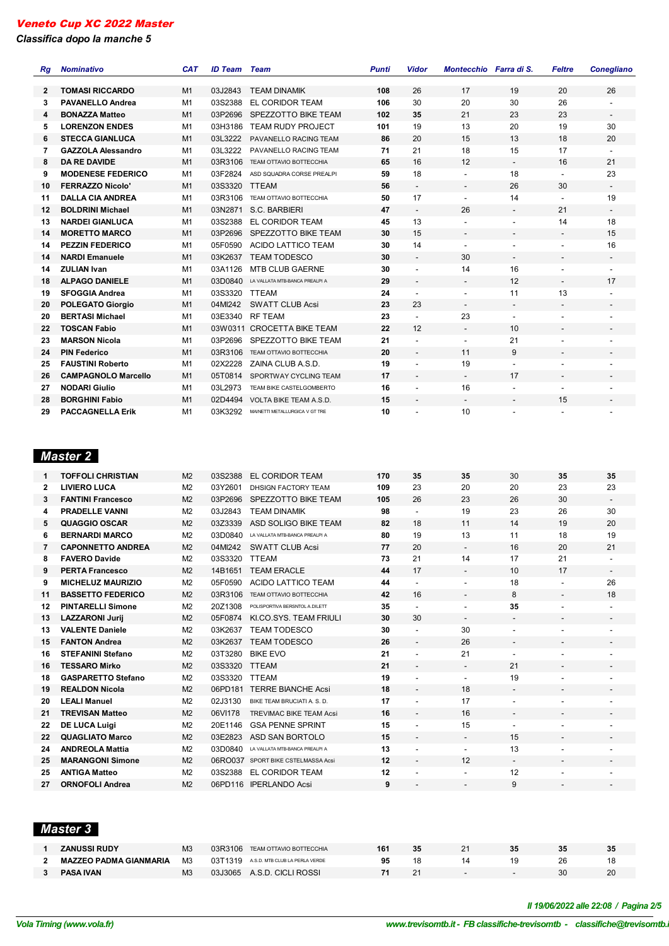*Classifica dopo la manche 5*

| Rg           | <b>Nominativo</b>                                 | <b>CAT</b> | <b>ID Team</b>     | Team                                   | <b>Punti</b> | <b>Vidor</b>             | Montecchio Farra di S.   |                          | <b>Feltre</b>            | <b>Conegliano</b>            |
|--------------|---------------------------------------------------|------------|--------------------|----------------------------------------|--------------|--------------------------|--------------------------|--------------------------|--------------------------|------------------------------|
|              |                                                   |            |                    |                                        |              |                          |                          |                          |                          |                              |
| $\mathbf{2}$ | <b>TOMASI RICCARDO</b><br><b>PAVANELLO Andrea</b> | M1         | 03J2843            | <b>TEAM DINAMIK</b>                    | 108<br>106   | 26<br>30                 | 17<br>20                 | 19<br>30                 | 20<br>26                 | 26                           |
| 3            | <b>BONAZZA Matteo</b>                             | M1<br>M1   | 03S2388<br>03P2696 | EL CORIDOR TEAM<br>SPEZZOTTO BIKE TEAM | 102          | 35                       |                          |                          | 23                       |                              |
| 4            |                                                   |            |                    |                                        |              |                          | 21                       | 23                       |                          | $\overline{\phantom{a}}$     |
| 5            | <b>LORENZON ENDES</b>                             | M1         | 03H3186            | <b>TEAM RUDY PROJECT</b>               | 101          | 19                       | 13                       | 20                       | 19                       | 30                           |
| 6            | <b>STECCA GIANLUCA</b>                            | M1         | 03L3222            | PAVANELLO RACING TEAM                  | 86           | 20                       | 15                       | 13                       | 18                       | 20                           |
| 7            | <b>GAZZOLA Alessandro</b>                         | M1         | 03L3222            | PAVANELLO RACING TEAM                  | 71           | 21                       | 18                       | 15                       | 17                       | $\overline{\phantom{a}}$     |
| 8            | <b>DA RE DAVIDE</b>                               | M1         | 03R3106            | <b>TEAM OTTAVIO BOTTECCHIA</b>         | 65           | 16                       | 12                       | $\overline{\phantom{a}}$ | 16                       | 21                           |
| 9            | <b>MODENESE FEDERICO</b>                          | M1         | 03F2824            | ASD SQUADRA CORSE PREALPI              | 59           | 18                       |                          | 18                       |                          | 23                           |
| 10           | <b>FERRAZZO Nicolo'</b>                           | M1         | 03S3320            | <b>TTEAM</b>                           | 56           | $\overline{\phantom{a}}$ | $\overline{\phantom{a}}$ | 26                       | 30                       | $\overline{\phantom{a}}$     |
| 11           | <b>DALLA CIA ANDREA</b>                           | M1         | 03R3106            | TEAM OTTAVIO BOTTECCHIA                | 50           | 17                       |                          | 14                       | $\overline{\phantom{a}}$ | 19                           |
| 12           | <b>BOLDRINI Michael</b>                           | M1         | 03N2871            | S.C. BARBIERI                          | 47           |                          | 26                       | $\overline{\phantom{a}}$ | 21                       | $\overline{\phantom{a}}$     |
| 13           | <b>NARDEI GIANLUCA</b>                            | M1         | 03S2388            | EL CORIDOR TEAM                        | 45           | 13                       |                          |                          | 14                       | 18                           |
| 14           | <b>MORETTO MARCO</b>                              | M1         | 03P2696            | SPEZZOTTO BIKE TEAM                    | 30           | 15                       | $\overline{\phantom{a}}$ | $\overline{\phantom{a}}$ | $\overline{\phantom{a}}$ | 15                           |
| 14           | <b>PEZZIN FEDERICO</b>                            | M1         | 05F0590            | <b>ACIDO LATTICO TEAM</b>              | 30           | 14                       |                          |                          |                          | 16                           |
| 14           | <b>NARDI Emanuele</b>                             | M1         | 03K2637            | <b>TEAM TODESCO</b>                    | 30           |                          | 30                       | $\overline{a}$           | $\overline{\phantom{a}}$ | $\overline{\phantom{a}}$     |
| 14           | <b>ZULIAN Ivan</b>                                | M1         | 03A1126            | <b>MTB CLUB GAERNE</b>                 | 30           |                          | 14                       | 16                       |                          |                              |
| 18           | <b>ALPAGO DANIELE</b>                             | M1         | 03D0840            | LA VALLATA MTB-BANCA PREALPI A         | 29           |                          | $\overline{\phantom{a}}$ | 12                       | $\overline{\phantom{a}}$ | 17                           |
| 19           | <b>SFOGGIA Andrea</b>                             | M1         | 03S3320            | <b>TTEAM</b>                           | 24           |                          | $\overline{a}$           | 11                       | 13                       |                              |
| 20           | <b>POLEGATO Giorgio</b>                           | M1         | 04MI242            | <b>SWATT CLUB Acsi</b>                 | 23           | 23                       | $\overline{\phantom{a}}$ | $\overline{\phantom{a}}$ | $\overline{\phantom{a}}$ | $\overline{\phantom{a}}$     |
| 20           | <b>BERTASI Michael</b>                            | M1         | 03E3340            | <b>RF TEAM</b>                         | 23           |                          | 23                       | $\overline{\phantom{a}}$ |                          |                              |
| 22           | <b>TOSCAN Fabio</b>                               | M1         |                    | 03W0311 CROCETTA BIKE TEAM             | 22           | 12                       | $\overline{\phantom{a}}$ | 10                       | $\overline{\phantom{a}}$ | $\qquad \qquad \blacksquare$ |
| 23           | <b>MARSON Nicola</b>                              | M1         | 03P2696            | SPEZZOTTO BIKE TEAM                    | 21           |                          | $\overline{a}$           | 21                       |                          |                              |
| 24           | <b>PIN Federico</b>                               | M1         | 03R3106            | TEAM OTTAVIO BOTTECCHIA                | 20           | $\overline{\phantom{a}}$ | 11                       | 9                        | $\overline{\phantom{a}}$ | $\overline{\phantom{a}}$     |
| 25           | <b>FAUSTINI Roberto</b>                           | M1         | 02X2228            | ZAINA CLUB A.S.D.                      | 19           |                          | 19                       |                          |                          |                              |
| 26           | <b>CAMPAGNOLO Marcello</b>                        | M1         | 05T0814            | SPORTWAY CYCLING TEAM                  | 17           | $\overline{\phantom{a}}$ | $\overline{\phantom{a}}$ | 17                       | $\overline{\phantom{a}}$ | $\overline{\phantom{a}}$     |
| 27           | <b>NODARI Giulio</b>                              | M1         | 03L2973            | TEAM BIKE CASTELGOMBERTO               | 16           |                          | 16                       |                          |                          |                              |
| 28           | <b>BORGHINI Fabio</b>                             | M1         | 02D4494            | <b>VOLTA BIKE TEAM A.S.D.</b>          | 15           |                          | $\overline{\phantom{a}}$ | $\overline{\phantom{a}}$ | 15                       |                              |
| 29           | <b>PACCAGNELLA Erik</b>                           | M1         | 03K3292            | MAINETTI METALLURGICA V GT TRE         | 10           |                          | 10                       |                          |                          |                              |

# *Master 2*

| 1            | <b>TOFFOLI CHRISTIAN</b>  | M <sub>2</sub> | 03S2388 | EL CORIDOR TEAM                | 170 | 35                           | 35                       | 30                       | 35                           | 35                           |
|--------------|---------------------------|----------------|---------|--------------------------------|-----|------------------------------|--------------------------|--------------------------|------------------------------|------------------------------|
| $\mathbf{2}$ | <b>LIVIERO LUCA</b>       | M <sub>2</sub> | 03Y2601 | DHSIGN FACTORY TEAM            | 109 | 23                           | 20                       | 20                       | 23                           | 23                           |
| 3            | <b>FANTINI Francesco</b>  | M <sub>2</sub> | 03P2696 | SPEZZOTTO BIKE TEAM            | 105 | 26                           | 23                       | 26                       | 30                           | $\overline{\phantom{a}}$     |
| 4            | <b>PRADELLE VANNI</b>     | M <sub>2</sub> | 03J2843 | <b>TEAM DINAMIK</b>            | 98  | $\overline{a}$               | 19                       | 23                       | 26                           | 30                           |
| 5            | QUAGGIO OSCAR             | M <sub>2</sub> | 03Z3339 | ASD SOLIGO BIKE TEAM           | 82  | 18                           | 11                       | 14                       | 19                           | 20                           |
| 6            | <b>BERNARDI MARCO</b>     | M <sub>2</sub> | 03D0840 | LA VALLATA MTB-BANCA PREALPI A | 80  | 19                           | 13                       | 11                       | 18                           | 19                           |
| 7            | <b>CAPONNETTO ANDREA</b>  | M <sub>2</sub> | 04MI242 | <b>SWATT CLUB Acsi</b>         | 77  | 20                           | $\overline{\phantom{a}}$ | 16                       | 20                           | 21                           |
| 8            | <b>FAVERO Davide</b>      | M <sub>2</sub> | 03S3320 | <b>TTEAM</b>                   | 73  | 21                           | 14                       | 17                       | 21                           | $\blacksquare$               |
| 9            | <b>PERTA Francesco</b>    | M <sub>2</sub> | 14B1651 | <b>TEAM ERACLE</b>             | 44  | 17                           | $\overline{a}$           | 10                       | 17                           |                              |
| 9            | <b>MICHELUZ MAURIZIO</b>  | M <sub>2</sub> | 05F0590 | <b>ACIDO LATTICO TEAM</b>      | 44  | $\overline{a}$               | $\blacksquare$           | 18                       | $\blacksquare$               | 26                           |
| 11           | <b>BASSETTO FEDERICO</b>  | M <sub>2</sub> | 03R3106 | <b>TEAM OTTAVIO BOTTECCHIA</b> | 42  | 16                           | $\overline{\phantom{a}}$ | 8                        | $\overline{\phantom{a}}$     | 18                           |
| 12           | <b>PINTARELLI Simone</b>  | M <sub>2</sub> | 20Z1308 | POLISPORTIVA BERSNTOL A.DILETT | 35  | $\overline{a}$               |                          | 35                       |                              |                              |
| 13           | <b>LAZZARONI Jurii</b>    | M <sub>2</sub> | 05F0874 | KI.CO.SYS. TEAM FRIULI         | 30  | 30                           | $\blacksquare$           | $\overline{\phantom{a}}$ | $\qquad \qquad \blacksquare$ | $\overline{\phantom{a}}$     |
| 13           | <b>VALENTE Daniele</b>    | M <sub>2</sub> | 03K2637 | <b>TEAM TODESCO</b>            | 30  | $\overline{a}$               | 30                       | $\overline{\phantom{a}}$ | $\overline{\phantom{a}}$     | $\overline{\phantom{a}}$     |
| 15           | <b>FANTON Andrea</b>      | M <sub>2</sub> | 03K2637 | <b>TEAM TODESCO</b>            | 26  | $\qquad \qquad \blacksquare$ | 26                       | $\overline{\phantom{a}}$ | $\overline{\phantom{a}}$     | $\overline{\phantom{a}}$     |
| 16           | <b>STEFANINI Stefano</b>  | M <sub>2</sub> | 03T3280 | <b>BIKE EVO</b>                | 21  |                              | 21                       | $\overline{a}$           | ٠                            | $\overline{a}$               |
| 16           | <b>TESSARO Mirko</b>      | M <sub>2</sub> | 03S3320 | <b>TTEAM</b>                   | 21  | $\overline{\phantom{a}}$     | $\overline{\phantom{a}}$ | 21                       | $\overline{\phantom{a}}$     | $\overline{\phantom{0}}$     |
| 18           | <b>GASPARETTO Stefano</b> | M <sub>2</sub> | 03S3320 | <b>TTEAM</b>                   | 19  |                              | $\blacksquare$           | 19                       | ٠                            | $\overline{a}$               |
| 19           | <b>REALDON Nicola</b>     | M <sub>2</sub> | 06PD181 | <b>TERRE BIANCHE Acsi</b>      | 18  |                              | 18                       | $\overline{\phantom{a}}$ | $\overline{\phantom{a}}$     | $\qquad \qquad \blacksquare$ |
| 20           | <b>LEALI Manuel</b>       | M <sub>2</sub> | 02J3130 | BIKE TEAM BRUCIATI A. S. D.    | 17  |                              | 17                       | ÷,                       | ٠                            |                              |
| 21           | <b>TREVISAN Matteo</b>    | M <sub>2</sub> | 06VI178 | <b>TREVIMAC BIKE TEAM Acsi</b> | 16  | $\overline{\phantom{a}}$     | 16                       | $\overline{\phantom{a}}$ | $\overline{\phantom{a}}$     | -                            |
| 22           | <b>DE LUCA Luigi</b>      | M <sub>2</sub> | 20E1146 | <b>GSA PENNE SPRINT</b>        | 15  |                              | 15                       | $\overline{\phantom{a}}$ |                              |                              |
| 22           | <b>QUAGLIATO Marco</b>    | M <sub>2</sub> | 03E2823 | ASD SAN BORTOLO                | 15  | $\overline{\phantom{a}}$     | $\blacksquare$           | 15                       | $\overline{\phantom{a}}$     | $\overline{\phantom{0}}$     |
| 24           | <b>ANDREOLA Mattia</b>    | M <sub>2</sub> | 03D0840 | LA VALLATA MTB-BANCA PREALPI A | 13  | ٠                            | $\blacksquare$           | 13                       | $\overline{\phantom{a}}$     | $\overline{a}$               |
| 25           | <b>MARANGONI Simone</b>   | M <sub>2</sub> | 06RO037 | SPORT BIKE CSTELMASSA Acsi     | 12  |                              | 12                       | $\overline{\phantom{a}}$ | $\overline{\phantom{a}}$     | $\overline{\phantom{a}}$     |
| 25           | <b>ANTIGA Matteo</b>      | M <sub>2</sub> | 03S2388 | EL CORIDOR TEAM                | 12  | ٠                            | $\blacksquare$           | 12                       | ٠                            |                              |
| 27           | <b>ORNOFOLI Andrea</b>    | M <sub>2</sub> |         | 06PD116 IPERLANDO Acsi         | 9   | $\qquad \qquad \blacksquare$ |                          | 9                        | $\overline{\phantom{a}}$     | $\overline{\phantom{a}}$     |
|              |                           |                |         |                                |     |                              |                          |                          |                              |                              |

 *Master 3* 

| <b>ZANUSSI RUDY</b>           | MЗ             | 03R3106 | TEAM OTTAVIO BOTTECCHIA                | 35 |  |    | 35 |
|-------------------------------|----------------|---------|----------------------------------------|----|--|----|----|
| <b>MAZZEO PADMA GIANMARIA</b> | M <sub>3</sub> |         | 03T1319 A.S.D. MTB CLUB LA PERLA VERDE |    |  | 26 |    |
| <b>PASA IVAN</b>              | M3             | 03J3065 | A.S.D. CICLI ROSSI                     |    |  |    |    |

*VolaSoftControlPdf Il 19/06/2022 alle 22:08 / Pagina 2/5*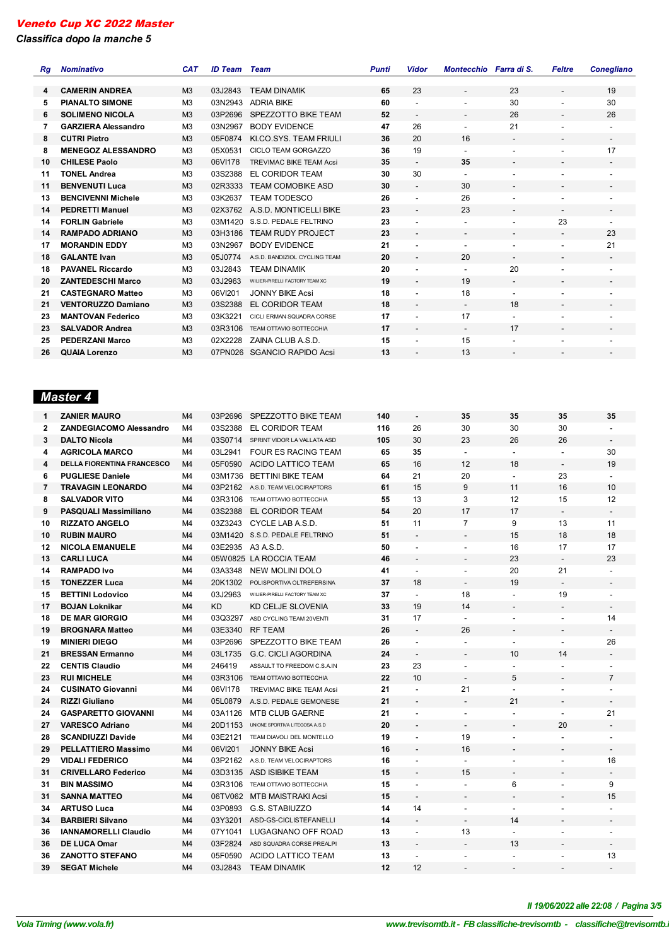*Classifica dopo la manche 5*

l.

| Rq | <b>Nominativo</b>          | <b>CAT</b>     | <b>ID Team</b> | Team                           | <b>Punti</b> | Vidor                    | Montecchio Farra di S.   |                          | <b>Feltre</b>            | <b>Conegliano</b>            |
|----|----------------------------|----------------|----------------|--------------------------------|--------------|--------------------------|--------------------------|--------------------------|--------------------------|------------------------------|
|    |                            |                |                |                                |              |                          |                          |                          |                          |                              |
| 4  | <b>CAMERIN ANDREA</b>      | M <sub>3</sub> | 03J2843        | <b>TEAM DINAMIK</b>            | 65           | 23                       | $\overline{\phantom{a}}$ | 23                       | $\overline{\phantom{a}}$ | 19                           |
| 5  | <b>PIANALTO SIMONE</b>     | M <sub>3</sub> | 03N2943        | <b>ADRIA BIKE</b>              | 60           |                          |                          | 30                       | $\overline{\phantom{a}}$ | 30                           |
| 6. | <b>SOLIMENO NICOLA</b>     | M <sub>3</sub> | 03P2696        | SPEZZOTTO BIKE TEAM            | 52           | $\overline{\phantom{a}}$ | $\overline{\phantom{a}}$ | 26                       | $\overline{\phantom{a}}$ | 26                           |
| 7  | <b>GARZIERA Alessandro</b> | M <sub>3</sub> | 03N2967        | <b>BODY EVIDENCE</b>           | 47           | 26                       | $\blacksquare$           | 21                       | $\overline{\phantom{a}}$ | $\blacksquare$               |
| 8  | <b>CUTRI Pietro</b>        | M <sub>3</sub> | 05F0874        | KI.CO.SYS. TEAM FRIULI         | 36           | 20                       | 16                       | $\overline{\phantom{a}}$ | $\overline{\phantom{a}}$ | $\overline{\phantom{a}}$     |
| 8  | <b>MENEGOZ ALESSANDRO</b>  | M <sub>3</sub> | 05X0531        | CICLO TEAM GORGAZZO            | 36           | 19                       | $\overline{\phantom{a}}$ | $\overline{\phantom{a}}$ | $\overline{\phantom{a}}$ | 17                           |
| 10 | <b>CHILESE Paolo</b>       | M <sub>3</sub> | 06VI178        | <b>TREVIMAC BIKE TEAM Acsi</b> | 35           | $\overline{\phantom{a}}$ | 35                       | $\overline{\phantom{a}}$ | $\overline{\phantom{a}}$ | $\overline{\phantom{a}}$     |
| 11 | <b>TONEL Andrea</b>        | M <sub>3</sub> | 03S2388        | EL CORIDOR TEAM                | 30           | 30                       | $\overline{\phantom{a}}$ | $\overline{\phantom{a}}$ |                          | $\overline{\phantom{a}}$     |
| 11 | <b>BENVENUTI Luca</b>      | M <sub>3</sub> | 02R3333        | <b>TEAM COMOBIKE ASD</b>       | 30           | $\overline{\phantom{a}}$ | 30                       | $\overline{\phantom{a}}$ | $\overline{\phantom{a}}$ | $\overline{\phantom{a}}$     |
| 13 | <b>BENCIVENNI Michele</b>  | M <sub>3</sub> | 03K2637        | <b>TEAM TODESCO</b>            | 26           | $\overline{\phantom{a}}$ | 26                       | $\overline{\phantom{a}}$ | ٠                        | ٠                            |
| 14 | <b>PEDRETTI Manuel</b>     | M <sub>3</sub> |                | 02X3762 A.S.D. MONTICELLI BIKE | 23           | $\overline{\phantom{a}}$ | 23                       | $\overline{\phantom{a}}$ | $\overline{\phantom{a}}$ | $\overline{\phantom{a}}$     |
| 14 | <b>FORLIN Gabriele</b>     | M <sub>3</sub> |                | 03M1420 S.S.D. PEDALE FELTRINO | 23           | $\overline{\phantom{a}}$ | $\blacksquare$           | $\overline{\phantom{a}}$ | 23                       | $\blacksquare$               |
| 14 | <b>RAMPADO ADRIANO</b>     | M <sub>3</sub> | 03H3186        | <b>TEAM RUDY PROJECT</b>       | 23           | $\overline{\phantom{a}}$ | $\overline{\phantom{a}}$ | $\overline{\phantom{a}}$ | $\overline{\phantom{a}}$ | 23                           |
| 17 | <b>MORANDIN EDDY</b>       | M <sub>3</sub> | 03N2967        | <b>BODY EVIDENCE</b>           | 21           | $\overline{\phantom{a}}$ | $\blacksquare$           | $\blacksquare$           | $\overline{\phantom{a}}$ | 21                           |
| 18 | <b>GALANTE Ivan</b>        | M <sub>3</sub> | 05J0774        | A.S.D. BANDIZIOL CYCLING TEAM  | 20           | $\blacksquare$           | 20                       | $\overline{\phantom{a}}$ | $\overline{\phantom{a}}$ | $\overline{\phantom{a}}$     |
| 18 | <b>PAVANEL Riccardo</b>    | M <sub>3</sub> | 03J2843        | <b>TEAM DINAMIK</b>            | 20           | $\overline{\phantom{a}}$ | $\overline{\phantom{a}}$ | 20                       | $\overline{\phantom{a}}$ | ٠                            |
| 20 | <b>ZANTEDESCHI Marco</b>   | M <sub>3</sub> | 03J2963        | WILIER-PIRELLI FACTORY TEAM XC | 19           | $\overline{\phantom{a}}$ | 19                       | $\overline{\phantom{a}}$ | $\overline{\phantom{a}}$ | $\overline{\phantom{a}}$     |
| 21 | <b>CASTEGNARO Matteo</b>   | M3             | 06VI201        | <b>JONNY BIKE Acsi</b>         | 18           | $\overline{\phantom{a}}$ | 18                       | $\blacksquare$           | $\overline{\phantom{a}}$ | ٠                            |
| 21 | <b>VENTORUZZO Damiano</b>  | M <sub>3</sub> | 03S2388        | EL CORIDOR TEAM                | 18           | $\overline{\phantom{a}}$ | $\overline{\phantom{a}}$ | 18                       | $\overline{\phantom{a}}$ | $\overline{\phantom{a}}$     |
| 23 | <b>MANTOVAN Federico</b>   | M <sub>3</sub> | 03K3221        | CICLI ERMAN SQUADRA CORSE      | 17           | $\overline{\phantom{a}}$ | 17                       | $\blacksquare$           | $\overline{\phantom{a}}$ | $\blacksquare$               |
| 23 | <b>SALVADOR Andrea</b>     | M <sub>3</sub> | 03R3106        | <b>TEAM OTTAVIO BOTTECCHIA</b> | 17           | $\overline{\phantom{a}}$ | $\overline{\phantom{a}}$ | 17                       | $\overline{\phantom{a}}$ | $\overline{\phantom{a}}$     |
| 25 | <b>PEDERZANI Marco</b>     | M <sub>3</sub> | 02X2228        | ZAINA CLUB A.S.D.              | 15           | $\overline{\phantom{a}}$ | 15                       | $\overline{\phantom{a}}$ | $\overline{\phantom{a}}$ | $\blacksquare$               |
| 26 | <b>QUAIA Lorenzo</b>       | M <sub>3</sub> | 07PN026        | SGANCIO RAPIDO Acsi            | 13           |                          | 13                       |                          |                          | $\qquad \qquad \blacksquare$ |

# *Master 4*

| 1            | <b>ZANIER MAURO</b>               | M4             | 03P2696   | SPEZZOTTO BIKE TEAM                 | 140 | $\overline{\phantom{a}}$     | 35                       | 35                       | 35                       | 35                       |
|--------------|-----------------------------------|----------------|-----------|-------------------------------------|-----|------------------------------|--------------------------|--------------------------|--------------------------|--------------------------|
| $\mathbf{2}$ | <b>ZANDEGIACOMO Alessandro</b>    | M4             | 03S2388   | EL CORIDOR TEAM                     | 116 | 26                           | 30                       | 30                       | 30                       |                          |
| 3            | <b>DALTO Nicola</b>               | M4             |           | 03S0714 SPRINT VIDOR LA VALLATA ASD | 105 | 30                           | 23                       | 26                       | 26                       | $\blacksquare$           |
| 4            | <b>AGRICOLA MARCO</b>             | M4             | 03L2941   | <b>FOUR ES RACING TEAM</b>          | 65  | 35                           | $\overline{\phantom{a}}$ | $\overline{\phantom{a}}$ | $\overline{\phantom{a}}$ | 30                       |
| 4            | <b>DELLA FIORENTINA FRANCESCO</b> | M4             | 05F0590   | ACIDO LATTICO TEAM                  | 65  | 16                           | 12                       | 18                       | $\blacksquare$           | 19                       |
| 6            | <b>PUGLIESE Daniele</b>           | M4             | 03M1736   | <b>BETTINI BIKE TEAM</b>            | 64  | 21                           | 20                       | $\blacksquare$           | 23                       | $\mathbf{r}$             |
| 7            | <b>TRAVAGIN LEONARDO</b>          | M4             |           | 03P2162 A.S.D. TEAM VELOCIRAPTORS   | 61  | 15                           | 9                        | 11                       | 16                       | 10                       |
| 8            | <b>SALVADOR VITO</b>              | M4             | 03R3106   | TEAM OTTAVIO BOTTECCHIA             | 55  | 13                           | 3                        | 12                       | 15                       | 12                       |
| 9            | <b>PASQUALI Massimiliano</b>      | M <sub>4</sub> | 03S2388   | EL CORIDOR TEAM                     | 54  | 20                           | 17                       | 17                       | $\overline{\phantom{a}}$ | $\overline{\phantom{a}}$ |
| 10           | <b>RIZZATO ANGELO</b>             | M4             | 03Z3243   | CYCLE LAB A.S.D.                    | 51  | 11                           | $\overline{7}$           | 9                        | 13                       | 11                       |
| 10           | <b>RUBIN MAURO</b>                | M <sub>4</sub> |           | 03M1420 S.S.D. PEDALE FELTRINO      | 51  |                              |                          | 15                       | 18                       | 18                       |
| 12           | <b>NICOLA EMANUELE</b>            | M4             |           | 03E2935 A3 A.S.D.                   | 50  | $\overline{a}$               |                          | 16                       | 17                       | 17                       |
| 13           | <b>CARLI LUCA</b>                 | M4             |           | 05W0825 LA ROCCIA TEAM              | 46  | $\overline{a}$               |                          | 23                       | $\sim$                   | 23                       |
| 14           | <b>RAMPADO Ivo</b>                | M4             | 03A3348   | NEW MOLINI DOLO                     | 41  | $\blacksquare$               | L,                       | 20                       | 21                       | $\overline{a}$           |
| 15           | <b>TONEZZER Luca</b>              | M4             | 20K1302   | POLISPORTIVA OLTREFERSINA           | 37  | 18                           | $\overline{a}$           | 19                       | $\blacksquare$           |                          |
| 15           | <b>BETTINI Lodovico</b>           | M4             | 03J2963   | WILIER-PIRELLI FACTORY TEAM XC      | 37  | $\blacksquare$               | 18                       | $\overline{a}$           | 19                       | $\blacksquare$           |
| 17           | <b>BOJAN Loknikar</b>             | M4             | <b>KD</b> | KD CELJE SLOVENIA                   | 33  | 19                           | 14                       |                          |                          | $\overline{a}$           |
| 18           | <b>DE MAR GIORGIO</b>             | M4             |           | 03Q3297 ASD CYCLING TEAM 20VENTI    | 31  | 17                           | $\mathbf{r}$             | $\overline{a}$           | $\overline{a}$           | 14                       |
| 19           | <b>BROGNARA Matteo</b>            | M <sub>4</sub> | 03E3340   | <b>RF TEAM</b>                      | 26  | $\overline{\phantom{a}}$     | 26                       | $\overline{a}$           | $\overline{\phantom{a}}$ |                          |
| 19           | <b>MINIERI DIEGO</b>              | M4             | 03P2696   | SPEZZOTTO BIKE TEAM                 | 26  | $\overline{\phantom{a}}$     | $\overline{\phantom{a}}$ | $\overline{\phantom{a}}$ | $\overline{\phantom{a}}$ | 26                       |
| 21           | <b>BRESSAN Ermanno</b>            | M <sub>4</sub> | 03L1735   | G.C. CICLI AGORDINA                 | 24  | $\blacksquare$               |                          | 10                       | 14                       | $\overline{\phantom{a}}$ |
| 22           | <b>CENTIS Claudio</b>             | M4             | 246419    | ASSAULT TO FREEDOM C.S.A.IN         | 23  | 23                           | $\overline{a}$           | $\overline{a}$           | $\overline{a}$           |                          |
| 23           | <b>RUI MICHELE</b>                | M <sub>4</sub> | 03R3106   | TEAM OTTAVIO BOTTECCHIA             | 22  | 10                           |                          | 5                        |                          | $\overline{7}$           |
| 24           | <b>CUSINATO Giovanni</b>          | M4             | 06VI178   | <b>TREVIMAC BIKE TEAM Acsi</b>      | 21  | $\overline{a}$               | 21                       | $\overline{a}$           | $\overline{a}$           | $\overline{a}$           |
| 24           | <b>RIZZI Giuliano</b>             | M4             | 05L0879   | A.S.D. PEDALE GEMONESE              | 21  | $\overline{a}$               |                          | 21                       |                          |                          |
| 24           | <b>GASPARETTO GIOVANNI</b>        | M4             | 03A1126   | MTB CLUB GAERNE                     | 21  | ٠                            | $\blacksquare$           | $\blacksquare$           | $\overline{\phantom{a}}$ | 21                       |
| 27           | <b>VARESCO Adriano</b>            | M4             | 20D1153   | UNIONE SPORTIVA LITEGOSA A.S.D      | 20  | $\overline{a}$               |                          |                          | 20                       |                          |
| 28           | <b>SCANDIUZZI Davide</b>          | M4             | 03E2121   | TEAM DIAVOLI DEL MONTELLO           | 19  | $\overline{a}$               | 19                       | $\overline{a}$           | $\overline{a}$           | $\overline{a}$           |
| 29           | <b>PELLATTIERO Massimo</b>        | M <sub>4</sub> | 06VI201   | <b>JONNY BIKE Acsi</b>              | 16  | $\frac{1}{2}$                | 16                       | $\overline{\phantom{a}}$ | $\overline{\phantom{a}}$ | $\overline{\phantom{0}}$ |
| 29           | <b>VIDALI FEDERICO</b>            | M4             | 03P2162   | A.S.D. TEAM VELOCIRAPTORS           | 16  | L,                           | $\overline{\phantom{a}}$ | $\overline{\phantom{a}}$ | $\overline{a}$           | 16                       |
| 31           | <b>CRIVELLARO Federico</b>        | M <sub>4</sub> | 03D3135   | ASD ISIBIKE TEAM                    | 15  | $\qquad \qquad \blacksquare$ | 15                       | $\overline{\phantom{a}}$ | $\overline{\phantom{m}}$ | $\overline{\phantom{a}}$ |
| 31           | <b>BIN MASSIMO</b>                | M4             | 03R3106   | <b>TEAM OTTAVIO BOTTECCHIA</b>      | 15  | ٠                            | $\overline{a}$           | 6                        | ÷                        | 9                        |
| 31           | <b>SANNA MATTEO</b>               | M4             | 06TV062   | MTB MAISTRAKI Acsi                  | 15  | $\frac{1}{2}$                |                          |                          |                          | 15                       |
| 34           | <b>ARTUSO Luca</b>                | M4             | 03P0893   | G.S. STABIUZZO                      | 14  | 14                           | $\blacksquare$           | $\overline{a}$           |                          | $\sim$                   |
| 34           | <b>BARBIERI Silvano</b>           | M <sub>4</sub> | 03Y3201   | ASD-GS-CICLISTEFANELLI              | 14  |                              | $\overline{a}$           | 14                       |                          |                          |
| 36           | <b>IANNAMORELLI Claudio</b>       | M4             | 07Y1041   | LUGAGNANO OFF ROAD                  | 13  |                              | 13                       | $\overline{a}$           |                          | $\overline{a}$           |
| 36           | <b>DE LUCA Omar</b>               | M4             | 03F2824   | ASD SQUADRA CORSE PREALPI           | 13  | $\overline{\phantom{a}}$     | $\blacksquare$           | 13                       | $\blacksquare$           | $\overline{a}$           |
| 36           | <b>ZANOTTO STEFANO</b>            | M4             | 05F0590   | ACIDO LATTICO TEAM                  | 13  | ÷.                           |                          |                          |                          | 13                       |
| 39           | <b>SEGAT Michele</b>              | M <sub>4</sub> | 03J2843   | <b>TEAM DINAMIK</b>                 | 12  | 12                           | $\overline{a}$           | $\overline{\phantom{a}}$ | L,                       | $\overline{\phantom{m}}$ |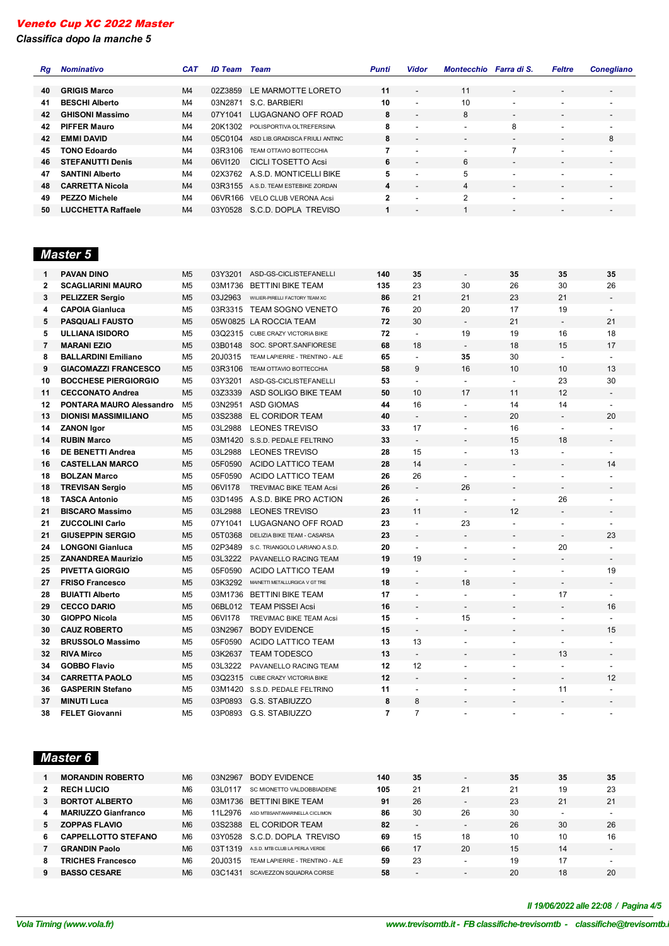*Classifica dopo la manche 5*

| Rg | <b>Nominativo</b>         | <b>CAT</b>     | <b>ID Team</b> | Team                                | <b>Punti</b> | <b>Vidor</b>             | Montecchio               | Farra di S.              | <b>Feltre</b>            | <b>Conegliano</b>            |
|----|---------------------------|----------------|----------------|-------------------------------------|--------------|--------------------------|--------------------------|--------------------------|--------------------------|------------------------------|
|    |                           |                |                |                                     |              |                          |                          |                          |                          |                              |
| 40 | <b>GRIGIS Marco</b>       | M <sub>4</sub> | 02Z3859        | LE MARMOTTE LORETO                  | 11           | $\overline{\phantom{a}}$ | 11                       | $\overline{\phantom{a}}$ | $\overline{\phantom{a}}$ | $\overline{\phantom{a}}$     |
| 41 | <b>BESCHI Alberto</b>     | M4             | 03N2871        | S.C. BARBIERI                       | 10           |                          | 10                       | $\overline{\phantom{a}}$ | $\overline{\phantom{a}}$ | -                            |
| 42 | <b>GHISONI Massimo</b>    | M <sub>4</sub> | 07Y1041        | LUGAGNANO OFF ROAD                  | 8            |                          | 8                        | $\overline{\phantom{a}}$ | $\overline{\phantom{a}}$ | $\overline{\phantom{a}}$     |
| 42 | <b>PIFFER Mauro</b>       | M4             | 20K1302        | POLISPORTIVA OLTREFERSINA           | 8            |                          | $\overline{\phantom{a}}$ | 8                        | $\overline{\phantom{a}}$ | -                            |
| 42 | <b>EMMI DAVID</b>         | M <sub>4</sub> | 05C0104        | ASD LIB. GRADISCA FRIULI ANTINC     | 8            | $\overline{\phantom{a}}$ | $\overline{\phantom{0}}$ | $\overline{\phantom{a}}$ | $\overline{\phantom{a}}$ | 8                            |
| 45 | <b>TONO Edoardo</b>       | M4             | 03R3106        | TEAM OTTAVIO BOTTECCHIA             | 7            |                          | $\overline{\phantom{0}}$ |                          | $\overline{\phantom{a}}$ | -                            |
| 46 | <b>STEFANUTTI Denis</b>   | M <sub>4</sub> | 06VI120        | <b>CICLI TOSETTO Acsi</b>           | 6            |                          | 6                        | $\overline{\phantom{a}}$ | $\overline{\phantom{a}}$ | $\overline{\phantom{a}}$     |
| 47 | <b>SANTINI Alberto</b>    | M4             |                | 02X3762 A.S.D. MONTICELLI BIKE      | 5            |                          | 5                        | $\overline{\phantom{a}}$ | $\overline{\phantom{a}}$ | $\overline{\phantom{a}}$     |
| 48 | <b>CARRETTA Nicola</b>    | M <sub>4</sub> |                | 03R3155 A.S.D. TEAM ESTEBIKE ZORDAN | 4            |                          | 4                        | $\overline{\phantom{a}}$ | $\overline{\phantom{a}}$ | $\overline{\phantom{a}}$     |
| 49 | <b>PEZZO Michele</b>      | M4             | 06VR166        | VELO CLUB VERONA Acsi               | $\mathbf{2}$ |                          | $\mathfrak{p}$           | $\overline{\phantom{a}}$ | $\overline{\phantom{a}}$ | $\overline{\phantom{a}}$     |
| 50 | <b>LUCCHETTA Raffaele</b> | M4             |                | 03Y0528 S.C.D. DOPLA TREVISO        |              |                          |                          |                          |                          | $\qquad \qquad \blacksquare$ |

# *Master 5*

| 1              | <b>PAVAN DINO</b>           | M <sub>5</sub> | 03Y3201 | ASD-GS-CICLISTEFANELLI         | 140 | 35                       | $\overline{a}$           | 35                       | 35                       | 35                       |
|----------------|-----------------------------|----------------|---------|--------------------------------|-----|--------------------------|--------------------------|--------------------------|--------------------------|--------------------------|
| $\mathbf{2}$   | <b>SCAGLIARINI MAURO</b>    | M <sub>5</sub> | 03M1736 | <b>BETTINI BIKE TEAM</b>       | 135 | 23                       | 30                       | 26                       | 30                       | 26                       |
| 3              | <b>PELIZZER Sergio</b>      | M <sub>5</sub> | 03J2963 | WILIER-PIRELLI FACTORY TEAM XC | 86  | 21                       | 21                       | 23                       | 21                       |                          |
| 4              | <b>CAPOIA Gianluca</b>      | M <sub>5</sub> |         | 03R3315 TEAM SOGNO VENETO      | 76  | 20                       | 20                       | 17                       | 19                       |                          |
| 5              | <b>PASQUALI FAUSTO</b>      | M <sub>5</sub> |         | 05W0825 LA ROCCIA TEAM         | 72  | 30                       | $\blacksquare$           | 21                       | $\blacksquare$           | 21                       |
| 5              | <b>ULLIANA ISIDORO</b>      | M <sub>5</sub> | 03Q2315 | CUBE CRAZY VICTORIA BIKE       | 72  | $\overline{a}$           | 19                       | 19                       | 16                       | 18                       |
| $\overline{7}$ | <b>MARANI EZIO</b>          | M <sub>5</sub> | 03B0148 | SOC. SPORT.SANFIORESE          | 68  | 18                       | $\blacksquare$           | 18                       | 15                       | 17                       |
| 8              | <b>BALLARDINI Emiliano</b>  | M <sub>5</sub> | 20J0315 | TEAM LAPIERRE - TRENTINO - ALE | 65  |                          | 35                       | 30                       | $\blacksquare$           | $\overline{a}$           |
| 9              | <b>GIACOMAZZI FRANCESCO</b> | M <sub>5</sub> | 03R3106 | <b>TEAM OTTAVIO BOTTECCHIA</b> | 58  | 9                        | 16                       | 10                       | 10                       | 13                       |
| 10             | <b>BOCCHESE PIERGIORGIO</b> | M <sub>5</sub> | 03Y3201 | ASD-GS-CICLISTEFANELLI         | 53  | $\overline{a}$           | $\ddot{\phantom{a}}$     | $\overline{a}$           | 23                       | 30                       |
| 11             | <b>CECCONATO Andrea</b>     | M <sub>5</sub> | 03Z3339 | ASD SOLIGO BIKE TEAM           | 50  | 10                       | 17                       | 11                       | 12                       |                          |
| 12             | PONTARA MAURO Alessandro    | M <sub>5</sub> | 03N2951 | <b>ASD GIOMAS</b>              | 44  | 16                       | $\blacksquare$           | 14                       | 14                       |                          |
| 13             | <b>DIONISI MASSIMILIANO</b> | M <sub>5</sub> | 03S2388 | EL CORIDOR TEAM                | 40  | $\overline{a}$           |                          | 20                       | $\overline{\phantom{a}}$ | 20                       |
| 14             | <b>ZANON Igor</b>           | M <sub>5</sub> | 03L2988 | <b>LEONES TREVISO</b>          | 33  | 17                       | $\overline{a}$           | 16                       | $\overline{\phantom{a}}$ |                          |
| 14             | <b>RUBIN Marco</b>          | M <sub>5</sub> | 03M1420 | S.S.D. PEDALE FELTRINO         | 33  | $\overline{a}$           |                          | 15                       | 18                       |                          |
| 16             | <b>DE BENETTI Andrea</b>    | M <sub>5</sub> | 03L2988 | <b>LEONES TREVISO</b>          | 28  | 15                       | $\overline{a}$           | 13                       | L.                       | $\blacksquare$           |
| 16             | <b>CASTELLAN MARCO</b>      | M <sub>5</sub> | 05F0590 | ACIDO LATTICO TEAM             | 28  | 14                       | $\overline{a}$           | $\overline{\phantom{a}}$ | $\overline{a}$           | 14                       |
| 18             | <b>BOLZAN Marco</b>         | M <sub>5</sub> | 05F0590 | <b>ACIDO LATTICO TEAM</b>      | 26  | 26                       | $\mathbf{r}$             | $\overline{a}$           | $\overline{a}$           |                          |
| 18             | <b>TREVISAN Sergio</b>      | M <sub>5</sub> | 06VI178 | <b>TREVIMAC BIKE TEAM Acsi</b> | 26  | $\blacksquare$           | 26                       | $\overline{\phantom{a}}$ | $\overline{a}$           |                          |
| 18             | <b>TASCA Antonio</b>        | M <sub>5</sub> | 03D1495 | A.S.D. BIKE PRO ACTION         | 26  | L.                       | $\blacksquare$           | $\overline{a}$           | 26                       | $\overline{a}$           |
| 21             | <b>BISCARO Massimo</b>      | M <sub>5</sub> | 03L2988 | <b>LEONES TREVISO</b>          | 23  | 11                       | $\overline{\phantom{a}}$ | 12                       | $\overline{\phantom{a}}$ | $\overline{\phantom{a}}$ |
| 21             | <b>ZUCCOLINI Carlo</b>      | M <sub>5</sub> | 07Y1041 | LUGAGNANO OFF ROAD             | 23  | L.                       | 23                       | $\blacksquare$           | $\overline{\phantom{a}}$ | $\overline{a}$           |
| 21             | <b>GIUSEPPIN SERGIO</b>     | M <sub>5</sub> | 05T0368 | DELIZIA BIKE TEAM - CASARSA    | 23  | $\overline{\phantom{a}}$ | $\overline{\phantom{a}}$ | $\blacksquare$           | $\overline{\phantom{a}}$ | 23                       |
| 24             | <b>LONGONI Gianluca</b>     | M <sub>5</sub> | 02P3489 | S.C. TRIANGOLO LARIANO A.S.D.  | 20  | $\overline{\phantom{a}}$ | $\overline{a}$           | $\overline{a}$           | 20                       |                          |
| 25             | <b>ZANANDREA Maurizio</b>   | M <sub>5</sub> | 03L3222 | PAVANELLO RACING TEAM          | 19  | 19                       | $\overline{\phantom{a}}$ | $\overline{a}$           | $\overline{\phantom{a}}$ | $\overline{\phantom{a}}$ |
| 25             | <b>PIVETTA GIORGIO</b>      | M <sub>5</sub> | 05F0590 | ACIDO LATTICO TEAM             | 19  | $\blacksquare$           | $\blacksquare$           | ä,                       | $\overline{\phantom{a}}$ | 19                       |
| 27             | <b>FRISO Francesco</b>      | M <sub>5</sub> | 03K3292 | MAINETTI METALLURGICA V GT TRE | 18  | $\overline{\phantom{a}}$ | 18                       | $\overline{\phantom{a}}$ | $\overline{\phantom{0}}$ | $\overline{\phantom{a}}$ |
| 28             | <b>BUIATTI Alberto</b>      | M <sub>5</sub> | 03M1736 | <b>BETTINI BIKE TEAM</b>       | 17  |                          | $\blacksquare$           | $\overline{a}$           | 17                       | $\blacksquare$           |
| 29             | <b>CECCO DARIO</b>          | M <sub>5</sub> | 06BL012 | <b>TEAM PISSEI Acsi</b>        | 16  | $\overline{\phantom{a}}$ | $\overline{\phantom{a}}$ | $\overline{\phantom{0}}$ | $\overline{\phantom{a}}$ | 16                       |
| 30             | <b>GIOPPO Nicola</b>        | M <sub>5</sub> | 06VI178 | <b>TREVIMAC BIKE TEAM Acsi</b> | 15  | $\blacksquare$           | 15                       | ä,                       | ٠                        |                          |
| 30             | <b>CAUZ ROBERTO</b>         | M <sub>5</sub> | 03N2967 | <b>BODY EVIDENCE</b>           | 15  |                          | $\overline{\phantom{a}}$ | $\overline{\phantom{0}}$ | $\overline{\phantom{0}}$ | 15                       |
| 32             | <b>BRUSSOLO Massimo</b>     | M <sub>5</sub> | 05F0590 | <b>ACIDO LATTICO TEAM</b>      | 13  | 13                       | $\overline{a}$           | Ĭ.                       | $\overline{a}$           |                          |
| 32             | <b>RIVA Mirco</b>           | M <sub>5</sub> | 03K2637 | <b>TEAM TODESCO</b>            | 13  | $\blacksquare$           |                          |                          | 13                       |                          |
| 34             | <b>GOBBO Flavio</b>         | M <sub>5</sub> | 03L3222 | PAVANELLO RACING TEAM          | 12  | 12                       |                          | ÷,                       | $\overline{a}$           | $\overline{a}$           |
| 34             | <b>CARRETTA PAOLO</b>       | M <sub>5</sub> | 03Q2315 | CUBE CRAZY VICTORIA BIKE       | 12  |                          |                          |                          | $\overline{\phantom{a}}$ | 12                       |
| 36             | <b>GASPERIN Stefano</b>     | M <sub>5</sub> | 03M1420 | S.S.D. PEDALE FELTRINO         | 11  | $\overline{\phantom{a}}$ |                          | ÷,                       | 11                       |                          |
| 37             | <b>MINUTI Luca</b>          | M <sub>5</sub> | 03P0893 | G.S. STABIUZZO                 | 8   | 8                        |                          |                          |                          |                          |
| 38             | <b>FELET Giovanni</b>       | M <sub>5</sub> | 03P0893 | G.S. STABIUZZO                 | 7   | $\overline{7}$           | $\overline{a}$           | $\blacksquare$           | $\blacksquare$           | $\overline{a}$           |

# *Master 6*

|    | <b>MORANDIN ROBERTO</b>    | M <sub>6</sub> | 03N2967 | BODY EVIDENCE                  | 140 | 35                       | $\overline{\phantom{a}}$ | 35 | 35 | 35                       |
|----|----------------------------|----------------|---------|--------------------------------|-----|--------------------------|--------------------------|----|----|--------------------------|
|    | <b>RECH LUCIO</b>          | M <sub>6</sub> | 03L0117 | SC MIONETTO VALDOBBIADENE      | 105 | 21                       | 21                       | 21 | 19 | 23                       |
|    | <b>BORTOT ALBERTO</b>      | M <sub>6</sub> | 03M1736 | BETTINI BIKE TEAM              | 91  | 26                       |                          | 23 | 21 | 21                       |
| 4  | <b>MARIUZZO Gianfranco</b> | M <sub>6</sub> | 11 2976 | ASD MTBSANTAMARINELLA CICLIMON | 86  | 30                       | 26                       | 30 | -  |                          |
| 5. | <b>ZOPPAS FLAVIO</b>       | M <sub>6</sub> | 03S2388 | EL CORIDOR TEAM                | 82  | $\overline{\phantom{a}}$ | $\overline{\phantom{0}}$ | 26 | 30 | 26                       |
| 6  | <b>CAPPELLOTTO STEFANO</b> | M <sub>6</sub> | 03Y0528 | S.C.D. DOPLA TREVISO           | 69  | 15                       | 18                       | 10 | 10 | 16                       |
|    | <b>GRANDIN Paolo</b>       | M <sub>6</sub> | 03T1319 | A.S.D. MTB CLUB LA PERLA VERDE | 66  | 17                       | 20                       | 15 | 14 | $\overline{\phantom{0}}$ |
| 8  | <b>TRICHES Francesco</b>   | M <sub>6</sub> | 20J0315 | TEAM LAPIERRE - TRENTINO - ALE | 59  | 23                       | -                        | 19 | 17 |                          |
|    | <b>BASSO CESARE</b>        | M <sub>6</sub> | 03C1431 | SCAVEZZON SOUADRA CORSE        | 58  | $\overline{\phantom{a}}$ | $\overline{\phantom{0}}$ | 20 | 18 | 20                       |

*VolaSoftControlPdf Il 19/06/2022 alle 22:08 / Pagina 4/5*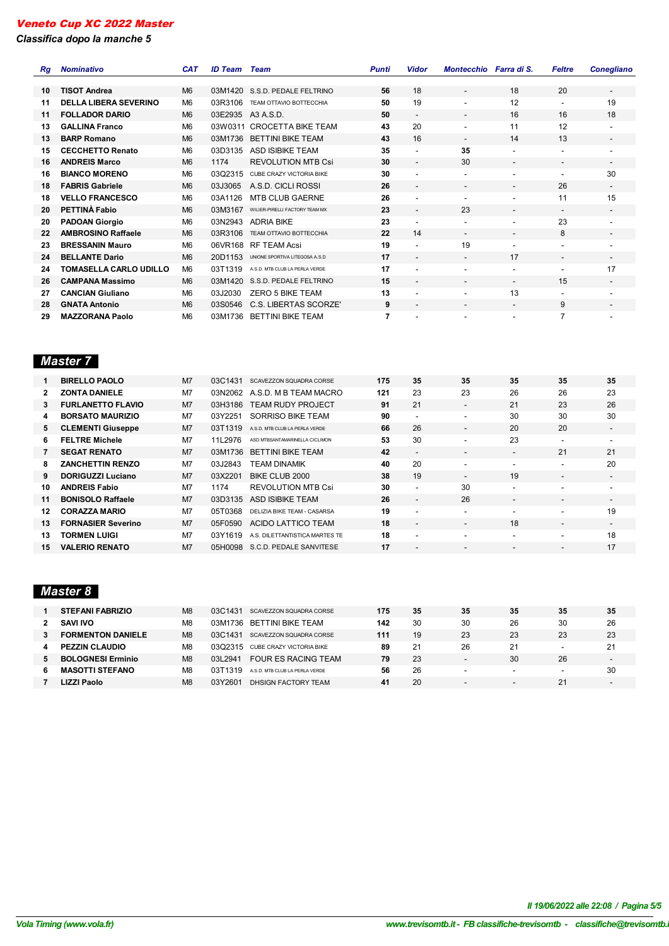*Classifica dopo la manche 5*

| Ra | <b>Nominativo</b>             | <b>CAT</b>     | <b>ID Team</b> | Team                            | <b>Punti</b> | Vidor                    | Montecchio Farra di S.   |                          | <b>Feltre</b>            | <b>Conegliano</b>        |
|----|-------------------------------|----------------|----------------|---------------------------------|--------------|--------------------------|--------------------------|--------------------------|--------------------------|--------------------------|
|    |                               |                |                |                                 |              |                          |                          |                          |                          |                          |
| 10 | <b>TISOT Andrea</b>           | M <sub>6</sub> | 03M1420        | S.S.D. PEDALE FELTRINO          | 56           | 18                       |                          | 18                       | 20                       | $\overline{\phantom{a}}$ |
| 11 | <b>DELLA LIBERA SEVERINO</b>  | M <sub>6</sub> | 03R3106        | TEAM OTTAVIO BOTTECCHIA         | 50           | 19                       | $\overline{\phantom{a}}$ | 12                       | $\overline{\phantom{a}}$ | 19                       |
| 11 | <b>FOLLADOR DARIO</b>         | M <sub>6</sub> | 03E2935        | A3 A.S.D.                       | 50           | $\overline{\phantom{a}}$ | $\overline{\phantom{a}}$ | 16                       | 16                       | 18                       |
| 13 | <b>GALLINA Franco</b>         | M <sub>6</sub> | 03W0311        | <b>CROCETTA BIKE TEAM</b>       | 43           | 20                       |                          | 11                       | 12                       | $\blacksquare$           |
| 13 | <b>BARP Romano</b>            | M <sub>6</sub> | 03M1736        | <b>BETTINI BIKE TEAM</b>        | 43           | 16                       |                          | 14                       | 13                       |                          |
| 15 | <b>CECCHETTO Renato</b>       | M <sub>6</sub> | 03D3135        | <b>ASD ISIBIKE TEAM</b>         | 35           |                          | 35                       | ٠                        | $\overline{\phantom{a}}$ | ٠                        |
| 16 | <b>ANDREIS Marco</b>          | M <sub>6</sub> | 1174           | <b>REVOLUTION MTB Csi</b>       | 30           |                          | 30                       | $\overline{\phantom{a}}$ | $\overline{\phantom{a}}$ | $\overline{\phantom{a}}$ |
| 16 | <b>BIANCO MORENO</b>          | M <sub>6</sub> | 03Q2315        | <b>CUBE CRAZY VICTORIA BIKE</b> | 30           |                          |                          |                          | $\overline{\phantom{a}}$ | 30                       |
| 18 | <b>FABRIS Gabriele</b>        | M <sub>6</sub> | 03J3065        | A.S.D. CICLI ROSSI              | 26           |                          |                          |                          | 26                       | $\overline{\phantom{a}}$ |
| 18 | <b>VELLO FRANCESCO</b>        | M <sub>6</sub> | 03A1126        | <b>MTB CLUB GAERNE</b>          | 26           |                          |                          | ٠                        | 11                       | 15                       |
| 20 | PETTINÀ Fabio                 | M <sub>6</sub> | 03M3167        | WILIER-PIRELLI FACTORY TEAM MX  | 23           | $\overline{\phantom{a}}$ | 23                       | $\overline{\phantom{a}}$ | $\overline{\phantom{a}}$ | $\overline{\phantom{a}}$ |
| 20 | <b>PADOAN Giorgio</b>         | M <sub>6</sub> | 03N2943        | <b>ADRIA BIKE</b>               | 23           |                          |                          | ۰                        | 23                       | ٠                        |
| 22 | <b>AMBROSINO Raffaele</b>     | M <sub>6</sub> | 03R3106        | TEAM OTTAVIO BOTTECCHIA         | 22           | 14                       | $\overline{\phantom{0}}$ | $\overline{\phantom{a}}$ | 8                        | $\overline{\phantom{a}}$ |
| 23 | <b>BRESSANIN Mauro</b>        | M <sub>6</sub> | 06VR168        | <b>RF TEAM Acsi</b>             | 19           |                          | 19                       |                          | $\overline{\phantom{a}}$ |                          |
| 24 | <b>BELLANTE Dario</b>         | M <sub>6</sub> | 20D1153        | UNIONE SPORTIVA LITEGOSA A.S.D  | 17           | $\overline{\phantom{a}}$ | $\overline{\phantom{a}}$ | 17                       | $\overline{\phantom{a}}$ | $\overline{\phantom{a}}$ |
| 24 | <b>TOMASELLA CARLO UDILLO</b> | M <sub>6</sub> | 03T1319        | A.S.D. MTB CLUB LA PERLA VERDE  | 17           |                          |                          |                          |                          | 17                       |
| 26 | <b>CAMPANA Massimo</b>        | M <sub>6</sub> | 03M1420        | S.S.D. PEDALE FELTRINO          | 15           | $\overline{\phantom{a}}$ | $\overline{\phantom{a}}$ | $\overline{\phantom{a}}$ | 15                       | $\overline{\phantom{a}}$ |
| 27 | <b>CANCIAN Giuliano</b>       | M <sub>6</sub> | 03J2030        | <b>ZERO 5 BIKE TEAM</b>         | 13           |                          |                          | 13                       | $\overline{\phantom{a}}$ | ٠                        |
| 28 | <b>GNATA Antonio</b>          | M <sub>6</sub> | 03S0546        | C.S. LIBERTAS SCORZE'           | 9            | $\overline{\phantom{a}}$ | $\overline{\phantom{a}}$ | $\overline{\phantom{a}}$ | 9                        | $\overline{\phantom{a}}$ |
| 29 | <b>MAZZORANA Paolo</b>        | M <sub>6</sub> | 03M1736        | <b>BETTINI BIKE TEAM</b>        | 7            |                          |                          |                          | 7                        |                          |

# *Master 7*

|              | <b>BIRELLO PAOLO</b>      | M <sub>7</sub> | 03C1431 | SCAVEZZON SQUADRA CORSE        | 175 | 35                       | 35                       | 35                       | 35                       | 35                       |
|--------------|---------------------------|----------------|---------|--------------------------------|-----|--------------------------|--------------------------|--------------------------|--------------------------|--------------------------|
| $\mathbf{2}$ | <b>ZONTA DANIELE</b>      | M <sub>7</sub> | 03N2062 | A.S.D. M B TEAM MACRO          | 121 | 23                       | 23                       | 26                       | 26                       | 23                       |
| 3            | <b>FURLANETTO FLAVIO</b>  | M <sub>7</sub> | 03H3186 | <b>TEAM RUDY PROJECT</b>       | 91  | 21                       | $\overline{\phantom{a}}$ | 21                       | 23                       | 26                       |
| 4            | <b>BORSATO MAURIZIO</b>   | M <sub>7</sub> | 03Y2251 | SORRISO BIKE TEAM              | 90  | ۰                        | $\overline{\phantom{a}}$ | 30                       | 30                       | 30                       |
| 5.           | <b>CLEMENTI Giuseppe</b>  | M <sub>7</sub> | 03T1319 | A.S.D. MTB CLUB LA PERLA VERDE | 66  | 26                       | $\overline{\phantom{a}}$ | 20                       | 20                       | $\overline{\phantom{a}}$ |
| 6.           | <b>FELTRE Michele</b>     | M <sub>7</sub> | 11L2976 | ASD MTBSANTAMARINELLA CICLIMON | 53  | 30                       | $\overline{\phantom{a}}$ | 23                       | $\overline{\phantom{a}}$ | $\overline{\phantom{a}}$ |
| 7            | <b>SEGAT RENATO</b>       | M <sub>7</sub> | 03M1736 | <b>BETTINI BIKE TEAM</b>       | 42  | $\overline{a}$           | $\overline{\phantom{a}}$ | $\overline{\phantom{0}}$ | 21                       | 21                       |
| 8            | <b>ZANCHETTIN RENZO</b>   | M <sub>7</sub> | 03J2843 | <b>TEAM DINAMIK</b>            | 40  | 20                       | $\overline{\phantom{a}}$ | $\overline{\phantom{a}}$ | $\overline{\phantom{a}}$ | 20                       |
| 9            | <b>DORIGUZZI Luciano</b>  | M <sub>7</sub> | 03X2201 | BIKE CLUB 2000                 | 38  | 19                       | $\overline{a}$           | 19                       | $\overline{\phantom{a}}$ | $\overline{\phantom{a}}$ |
| 10           | <b>ANDREIS Fabio</b>      | M <sub>7</sub> | 1174    | <b>REVOLUTION MTB Csi</b>      | 30  | $\overline{\phantom{a}}$ | 30                       | $\overline{\phantom{a}}$ | $\overline{\phantom{a}}$ | $\blacksquare$           |
| 11           | <b>BONISOLO Raffaele</b>  | M <sub>7</sub> | 03D3135 | ASD ISIBIKE TEAM               | 26  | $\overline{\phantom{a}}$ | 26                       | $\overline{\phantom{a}}$ | $\overline{\phantom{a}}$ | $\overline{\phantom{a}}$ |
| 12           | <b>CORAZZA MARIO</b>      | M <sub>7</sub> | 05T0368 | DELIZIA BIKE TEAM - CASARSA    | 19  | ۰                        | $\overline{\phantom{a}}$ | $\overline{\phantom{0}}$ | $\overline{\phantom{a}}$ | 19                       |
| 13           | <b>FORNASIER Severino</b> | M <sub>7</sub> | 05F0590 | ACIDO LATTICO TEAM             | 18  | $\overline{\phantom{a}}$ | $\overline{\phantom{a}}$ | 18                       | $\overline{\phantom{a}}$ | $\overline{\phantom{a}}$ |
| 13           | <b>TORMEN LUIGI</b>       | M <sub>7</sub> | 03Y1619 | A.S. DILETTANTISTICA MARTES TE | 18  | ۰                        | $\sim$                   | $\overline{\phantom{0}}$ | $\overline{\phantom{a}}$ | 18                       |
| 15.          | <b>VALERIO RENATO</b>     | M <sub>7</sub> | 05H0098 | S.C.D. PEDALE SANVITESE        | 17  | -                        | $\overline{\phantom{0}}$ | -                        | -                        | 17                       |

# *Master 8*

|   | <b>STEFANI FABRIZIO</b>  | M <sub>8</sub> | 03C1431     | SCAVEZZON SQUADRA CORSE        | 175 | 35 | 35                       | 35                       | 35                       | 35                       |
|---|--------------------------|----------------|-------------|--------------------------------|-----|----|--------------------------|--------------------------|--------------------------|--------------------------|
|   | <b>SAVI IVO</b>          | M <sub>8</sub> | 03M1736     | <b>BETTINI BIKE TEAM</b>       | 142 | 30 | 30                       | 26                       | 30                       | 26                       |
|   | <b>FORMENTON DANIELE</b> | M <sub>8</sub> | 03C1431     | SCAVEZZON SQUADRA CORSE        | 111 | 19 | 23                       | 23                       | 23                       | 23                       |
|   | <b>PEZZIN CLAUDIO</b>    | M <sub>8</sub> | 0302315     | CUBE CRAZY VICTORIA BIKE       | 89  | 21 | 26                       | 21                       | $\overline{\phantom{0}}$ | 21                       |
|   | <b>BOLOGNESI Erminio</b> | M <sub>8</sub> | 03L2941     | <b>FOUR ES RACING TEAM</b>     | 79  | 23 | -                        | 30                       | 26                       | $\overline{\phantom{0}}$ |
| 6 | <b>MASOTTI STEFANO</b>   | M <sub>8</sub> | 1319<br>03T | A.S.D. MTB CLUB LA PERLA VERDE | 56  | 26 | $\overline{\phantom{a}}$ | $\overline{\phantom{0}}$ | $\overline{\phantom{0}}$ | 30                       |
|   | LIZZI Paolo              | M <sub>8</sub> | 03Y2601     | DHSIGN FACTORY TEAM            | 41  | 20 | -                        | $\overline{\phantom{0}}$ |                          | $\overline{\phantom{0}}$ |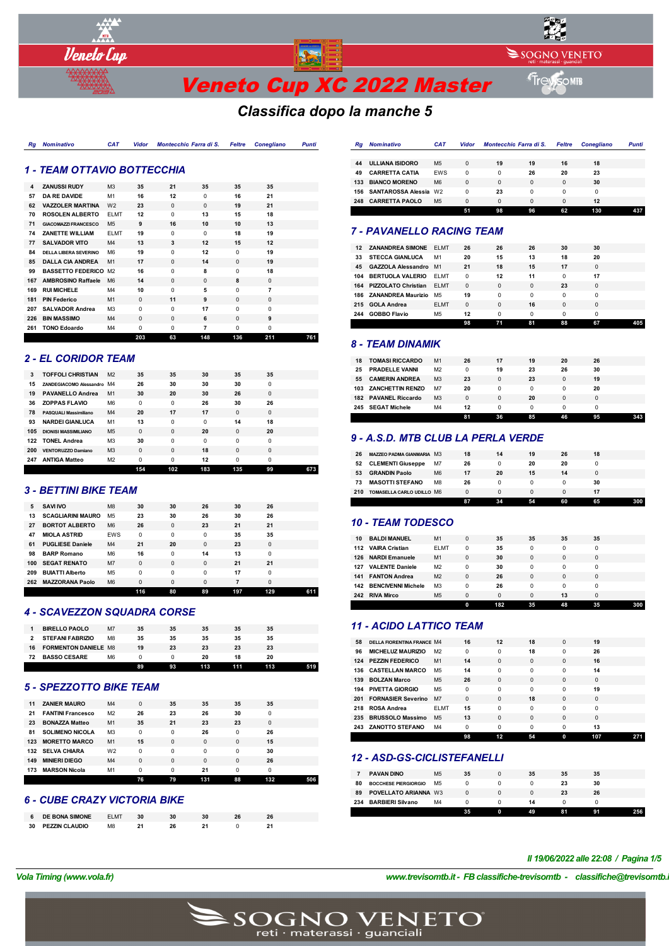

SOGNO VENETO

# *Classifica dopo la manche 5*

#### *Rg Nominativo CAT Vidor Montecchio Farra di S. Feltre Conegliano Punti*

#### *1 - TEAM OTTAVIO BOTTECCHIA*

*Veneto Cup* 

| 4   | <b>ZANUSSI RUDY</b>          | M <sub>3</sub> | 35       | 21       | 35       | 35       | 35             |     |
|-----|------------------------------|----------------|----------|----------|----------|----------|----------------|-----|
| 57  | <b>DA RE DAVIDE</b>          | M1             | 16       | 12       | 0        | 16       | 21             |     |
| 62  | <b>VAZZOLER MARTINA</b>      | W <sub>2</sub> | 23       | $\Omega$ | $\Omega$ | 19       | 21             |     |
| 70  | <b>ROSOLEN ALBERTO</b>       | <b>ELMT</b>    | 12       | $\Omega$ | 13       | 15       | 18             |     |
| 71  | <b>GIACOMAZZI FRANCESCO</b>  | M <sub>5</sub> | 9        | 16       | 10       | 10       | 13             |     |
| 74  | <b>ZANETTE WILLIAM</b>       | <b>ELMT</b>    | 19       | $\Omega$ | $\Omega$ | 18       | 19             |     |
| 77  | <b>SALVADOR VITO</b>         | M4             | 13       | 3        | 12       | 15       | 12             |     |
| 84  | <b>DELLA LIBERA SEVERINO</b> | M <sub>6</sub> | 19       | $\Omega$ | 12       | $\Omega$ | 19             |     |
| 85  | <b>DALLA CIA ANDREA</b>      | M1             | 17       | $\Omega$ | 14       | $\Omega$ | 19             |     |
| 99  | <b>BASSETTO FEDERICO</b>     | M <sub>2</sub> | 16       | $\Omega$ | 8        | $\Omega$ | 18             |     |
| 167 | <b>AMBROSINO Raffaele</b>    | M <sub>6</sub> | 14       | $\Omega$ | $\Omega$ | 8        | $\Omega$       |     |
| 169 | <b>RUI MICHELE</b>           | M4             | 10       | $\Omega$ | 5        | $\Omega$ | $\overline{7}$ |     |
| 181 | <b>PIN Federico</b>          | M1             | $\Omega$ | 11       | 9        | $\Omega$ | $\Omega$       |     |
| 207 | <b>SALVADOR Andrea</b>       | M <sub>3</sub> | $\Omega$ | $\Omega$ | 17       | $\Omega$ | $\Omega$       |     |
| 226 | <b>BIN MASSIMO</b>           | M <sub>4</sub> | $\Omega$ | $\Omega$ | 6        | $\Omega$ | 9              |     |
| 261 | <b>TONO Edoardo</b>          | M4             | $\Omega$ | $\Omega$ | 7        | $\Omega$ | $\Omega$       |     |
|     |                              |                | 203      | 63       | 148      | 136      | 211            | 761 |

## *2 - EL CORIDOR TEAM*

|     |                              |                | 154      | 102      | 183 | 135      | 99       | 673 |
|-----|------------------------------|----------------|----------|----------|-----|----------|----------|-----|
| 247 | <b>ANTIGA Matteo</b>         | M <sub>2</sub> | $\Omega$ | $\Omega$ | 12  | $\Omega$ | $\Omega$ |     |
| 200 | <b>VENTORUZZO Damiano</b>    | M <sub>3</sub> | $\Omega$ | $\Omega$ | 18  | $\Omega$ | $\Omega$ |     |
| 122 | <b>TONEL Andrea</b>          | M <sub>3</sub> | 30       | $\Omega$ | 0   | $\Omega$ | 0        |     |
| 105 | <b>DIONISI MASSIMILIANO</b>  | M <sub>5</sub> | $\Omega$ | $\Omega$ | 20  | $\Omega$ | 20       |     |
| 93  | <b>NARDEI GIANLUCA</b>       | M1             | 13       | $\Omega$ | 0   | 14       | 18       |     |
| 78  | <b>PASQUALI Massimiliano</b> | M4             | 20       | 17       | 17  | $\Omega$ | $\Omega$ |     |
| 36  | <b>ZOPPAS FLAVIO</b>         | M <sub>6</sub> | $\Omega$ | $\Omega$ | 26  | 30       | 26       |     |
| 19  | <b>PAVANELLO Andrea</b>      | M1             | 30       | 20       | 30  | 26       | $\Omega$ |     |
| 15  | ZANDEGIACOMO Alessandro M4   |                | 26       | 30       | 30  | 30       | 0        |     |
| 3   | <b>TOFFOLI CHRISTIAN</b>     | M <sub>2</sub> | 35       | 35       | 30  | 35       | 35       |     |

## *3 - BETTINI BIKE TEAM*

| 5   | <b>SAVI IVO</b>          | M <sub>8</sub> | 30          | 30          | 26          | 30  | 26          |     |
|-----|--------------------------|----------------|-------------|-------------|-------------|-----|-------------|-----|
| 13  | <b>SCAGLIARINI MAURO</b> | M <sub>5</sub> | 23          | 30          | 26          | 30  | 26          |     |
| 27  | <b>BORTOT ALBERTO</b>    | M <sub>6</sub> | 26          | $\mathbf 0$ | 23          | 21  | 21          |     |
| 47  | <b>MIOLA ASTRID</b>      | <b>EWS</b>     | $\Omega$    | $\Omega$    | $\mathbf 0$ | 35  | 35          |     |
| 61  | <b>PUGLIESE Daniele</b>  | M <sub>4</sub> | 21          | 20          | 0           | 23  | $\mathbf 0$ |     |
| 98  | <b>BARP Romano</b>       | M <sub>6</sub> | 16          | $\Omega$    | 14          | 13  | $\Omega$    |     |
| 100 | <b>SEGAT RENATO</b>      | M7             | $\mathbf 0$ | $\mathbf 0$ | $\mathbf 0$ | 21  | 21          |     |
| 209 | <b>BUIATTI Alberto</b>   | M <sub>5</sub> | $\Omega$    | $\Omega$    | $\Omega$    | 17  | 0           |     |
| 262 | <b>MAZZORANA Paolo</b>   | M <sub>6</sub> | 0           | $\mathbf 0$ | $\mathbf 0$ | 7   | $\mathbf 0$ |     |
|     |                          |                | 116         | 80          | 89          | 197 | 129         | 611 |

#### *4 - SCAVEZZON SQUADRA CORSE*

|    |                             |                | 89 | 93 | 113 | 111 | 113 |  |
|----|-----------------------------|----------------|----|----|-----|-----|-----|--|
| 72 | <b>BASSO CESARE</b>         | M <sub>6</sub> |    |    | 20  | 18  | 20  |  |
| 16 | <b>FORMENTON DANIELE M8</b> |                | 19 | 23 | 23  | 23  | 23  |  |
|    | <b>STEFANI FABRIZIO</b>     | M <sub>8</sub> | 35 | 35 | 35  | 35  | 35  |  |
|    | <b>BIRELLO PAOLO</b>        | M <sub>7</sub> | 35 | 35 | 35  | 35  | 35  |  |

#### *5 - SPEZZOTTO BIKE TEAM*

|     |                          |                | 76       | 79       | 131      | 88       | 132      | 506 |
|-----|--------------------------|----------------|----------|----------|----------|----------|----------|-----|
| 173 | <b>MARSON Nicola</b>     | M1             | $\Omega$ | $\Omega$ | 21       | 0        | 0        |     |
| 149 | <b>MINIERI DIEGO</b>     | M <sub>4</sub> | 0        | $\Omega$ | $\Omega$ | $\Omega$ | 26       |     |
| 132 | <b>SELVA CHIARA</b>      | W <sub>2</sub> | 0        | $\Omega$ | $\Omega$ | 0        | 30       |     |
| 123 | <b>MORETTO MARCO</b>     | M <sub>1</sub> | 15       | $\Omega$ | $\Omega$ | $\Omega$ | 15       |     |
| 81  | <b>SOLIMENO NICOLA</b>   | M <sub>3</sub> | $\Omega$ | $\Omega$ | 26       | 0        | 26       |     |
| 23  | <b>BONAZZA Matteo</b>    | M <sub>1</sub> | 35       | 21       | 23       | 23       | $\Omega$ |     |
| 21  | <b>FANTINI Francesco</b> | M <sub>2</sub> | 26       | 23       | 26       | 30       | 0        |     |
| 11  | <b>ZANIER MAURO</b>      | M <sub>4</sub> | 0        | 35       | 35       | 35       | 35       |     |
|     |                          |                |          |          |          |          |          |     |

#### *6 - CUBE CRAZY VICTORIA BIKE*

|    | <b>DE BONA SIMONE</b> | <b>ELMT</b>    |  | 30 |  |
|----|-----------------------|----------------|--|----|--|
| 30 | PEZZIN CLAUDIO        | M <sub>8</sub> |  |    |  |

| Ra  | <b>Nominativo</b>         | <b>CAT</b>     | Vidor    | Montecchio Farra di S. |    | <b>Feltre</b> | <b>Conegliano</b> | Punti |
|-----|---------------------------|----------------|----------|------------------------|----|---------------|-------------------|-------|
|     |                           |                |          |                        |    |               |                   |       |
| 44  | <b>ULLIANA ISIDORO</b>    | M <sub>5</sub> | 0        | 19                     | 19 | 16            | 18                |       |
| 49  | <b>CARRETTA CATIA</b>     | <b>EWS</b>     | $\Omega$ | 0                      | 26 | 20            | 23                |       |
| 133 | <b>BIANCO MORENO</b>      | M <sub>6</sub> | $\Omega$ | 0                      | 0  | $\Omega$      | 30                |       |
| 156 | <b>SANTAROSSA Alessia</b> | W <sub>2</sub> | 0        | 23                     | 0  | $\Omega$      | $\Omega$          |       |
| 248 | <b>CARRETTA PAOLO</b>     | M <sub>5</sub> | 0        | $\Omega$               | 0  | $\Omega$      | 12                |       |
|     |                           |                | 51       | 98                     | 96 | 62            | 130               | 437   |

# *7 - PAVANELLO RACING TEAM*

| 12  | <b>ZANANDREA SIMONE FLMT</b> |                | 26       | 26       | 26       | 30       | 30       |  |
|-----|------------------------------|----------------|----------|----------|----------|----------|----------|--|
| 33  | <b>STECCA GIANLUCA</b>       | M1             | 20       | 15       | 13       | 18       | 20       |  |
| 45  | GAZZOLA Alessandro M1        |                | 21       | 18       | 15       | 17       | $\Omega$ |  |
| 104 | <b>BERTUOLA VALERIO</b>      | FI MT          | $\Omega$ | 12       | 11       | $\Omega$ | 17       |  |
|     | 164 PIZZOLATO Christian      | <b>FLMT</b>    | $\Omega$ | $\Omega$ | $\Omega$ | 23       | $\Omega$ |  |
|     | 186 ZANANDREA Maurizio       | M <sub>5</sub> | 19       | $\Omega$ | 0        | $\Omega$ | $\Omega$ |  |
| 215 | <b>GOLA Andrea</b>           | <b>FLMT</b>    | $\Omega$ | $\Omega$ | 16       | $\Omega$ | $\Omega$ |  |
| 244 | <b>GOBBO Flavio</b>          | M <sub>5</sub> | 12       | 0        | 0        | $\Omega$ | $\Omega$ |  |
|     |                              |                | 98       | 71       | 81       | 88       | 67       |  |

#### *8 - TEAM DINAMIK*

| 18  | <b>TOMASI RICCARDO</b>  | M1             | 26       | 17       | 19           | 20 | 26 |  |
|-----|-------------------------|----------------|----------|----------|--------------|----|----|--|
| 25  | <b>PRADELLE VANNI</b>   | M <sub>2</sub> | 0        | 19       | 23           | 26 | 30 |  |
| 55  | <b>CAMERIN ANDREA</b>   | M <sub>3</sub> | 23       |          | 23           |    | 19 |  |
| 103 | <b>ZANCHETTIN RENZO</b> | M7             | 20       | $\Omega$ | $\Omega$     | 0  | 20 |  |
|     | 182 PAVANEL Riccardo    | M <sub>3</sub> | $\Omega$ | $\Omega$ | 20           |    |    |  |
| 245 | <b>SEGAT Michele</b>    | M4             | 12       | $\Omega$ | <sup>0</sup> |    |    |  |
|     |                         |                | 81       | 36       | 85           | 46 | 95 |  |

# *9 - A.S.D. MTB CLUB LA PERLA VERDE*

| 26  | <b>MAZZEO PADMA GIANMARIA M3</b> |                | 18 | 14 | 19 | 26 | 18 |  |
|-----|----------------------------------|----------------|----|----|----|----|----|--|
| 52  | <b>CLEMENTI Giuseppe</b>         | M7             | 26 |    | 20 | 20 |    |  |
| 53  | <b>GRANDIN Paolo</b>             | M <sub>6</sub> | 17 | 20 | 15 | 14 |    |  |
| 73  | <b>MASOTTI STEFANO</b>           | M <sub>8</sub> | 26 |    |    |    | 30 |  |
| 210 | TOMASELLA CARLO UDILLO M6        |                | 0  | n  |    |    | 17 |  |
|     |                                  |                | 87 | 34 | 54 | 60 | 65 |  |

## *10 - TEAM TODESCO*

| 10  | <b>BALDI MANUEL</b>       | M1             | $\Omega$ | 35       | 35       | 35       | 35       |     |
|-----|---------------------------|----------------|----------|----------|----------|----------|----------|-----|
| 112 | <b>VAIRA Cristian</b>     | <b>ELMT</b>    | 0        | 35       | $\Omega$ | $\Omega$ | 0        |     |
| 126 | <b>NARDI Emanuele</b>     | M1             | 0        | 30       | $\Omega$ | $\Omega$ | $\Omega$ |     |
| 127 | <b>VALENTE Daniele</b>    | M <sub>2</sub> | 0        | 30       | $\Omega$ | n        | 0        |     |
| 141 | <b>FANTON Andrea</b>      | M <sub>2</sub> | 0        | 26       | $\Omega$ | $\Omega$ | $\Omega$ |     |
| 142 | <b>BENCIVENNI Michele</b> | M <sub>3</sub> | 0        | 26       | 0        | n        | 0        |     |
| 242 | <b>RIVA Mirco</b>         | M <sub>5</sub> | $\Omega$ | $\Omega$ | $\Omega$ | 13       | $\Omega$ |     |
|     |                           |                | 0        | 182      | 35       | 48       | 35       | 300 |

# *11 - ACIDO LATTICO TEAM*

| 58  | <b>DELLA FIORENTINA FRANCE M4</b> |                | 16       | 12       | 18       | $\Omega$ | 19       |     |
|-----|-----------------------------------|----------------|----------|----------|----------|----------|----------|-----|
| 96  | <b>MICHELUZ MAURIZIO</b>          | M <sub>2</sub> | $\Omega$ | $\Omega$ | 18       | $\Omega$ | 26       |     |
|     | 124 PEZZIN FEDERICO               | M1             | 14       | $\Omega$ | $\Omega$ | $\Omega$ | 16       |     |
|     | 136 CASTELLAN MARCO               | M <sub>5</sub> | 14       | $\Omega$ | $\Omega$ | $\Omega$ | 14       |     |
| 139 | <b>BOLZAN Marco</b>               | M <sub>5</sub> | 26       | $\Omega$ | $\Omega$ | $\Omega$ | $\Omega$ |     |
| 194 | PIVETTA GIORGIO                   | M <sub>5</sub> | $\Omega$ | $\Omega$ | $\Omega$ | $\Omega$ | 19       |     |
| 201 | <b>FORNASIER Severino</b>         | M7             | $\Omega$ | $\Omega$ | 18       | $\Omega$ | $\Omega$ |     |
| 218 | <b>ROSA Andrea</b>                | <b>FLMT</b>    | 15       | $\Omega$ | $\Omega$ | $\Omega$ | $\Omega$ |     |
| 235 | <b>BRUSSOLO Massimo</b>           | M <sub>5</sub> | 13       | $\Omega$ | $\Omega$ | $\Omega$ | $\Omega$ |     |
|     | 243 ZANOTTO STEFANO               | M4             | $\Omega$ | $\Omega$ | $\Omega$ | $\Omega$ | 13       |     |
|     |                                   |                | 98       | 12       | 54       | 0        | 107      | 271 |

## *12 - ASD-GS-CICLISTEFANELLI*

| 234 | <b>BARBIERI Silvano</b>     | M <sub>4</sub> | 35 |   | 14<br>49 | 81 | 91 | 256. |
|-----|-----------------------------|----------------|----|---|----------|----|----|------|
| 89  | POVELLATO ARIANNA W3        |                |    | 0 |          | 23 | 26 |      |
| 80  | <b>BOCCHESE PIERGIORGIO</b> | M <sub>5</sub> |    |   |          | 23 | 30 |      |
|     | <b>PAVAN DINO</b>           | M <sub>5</sub> | 35 | 0 | 35       | 35 | 35 |      |
|     |                             |                |    |   |          |    |    |      |

#### *Il 19/06/2022 alle 22:08 / Pagina 1/5*

*VolaSoftControlPdf*

*Vola Timing (www.vola.fr) www.trevisomtb.it - FB classifiche-trevisomtb - classifiche@trevisomtb.it*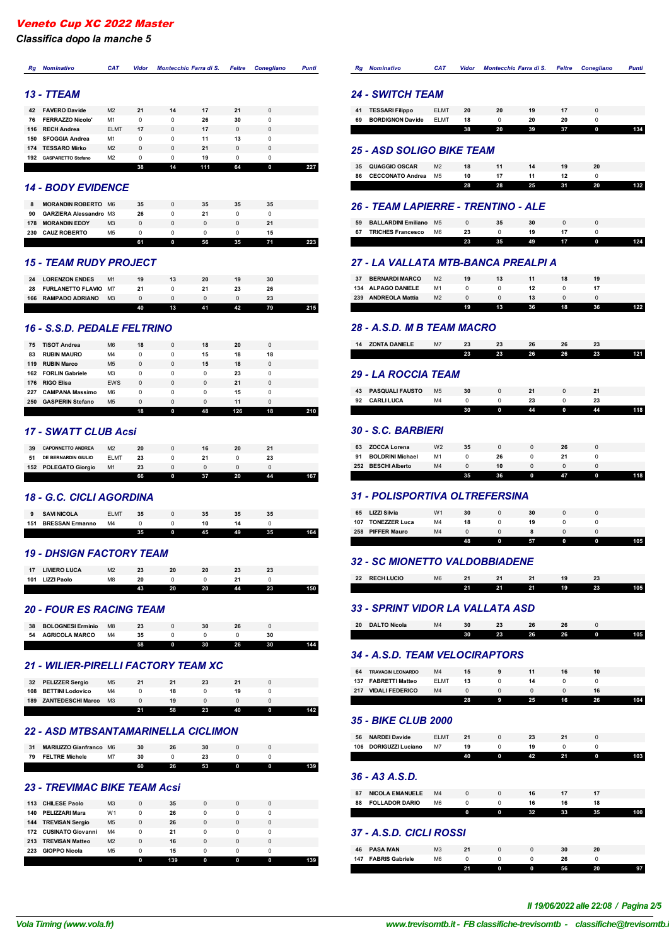*Classifica dopo la manche 5*

# *Rg Nominativo CAT Vidor Montecchio Farra di S. Feltre Conegliano Punti*

## *13 - TTEAM*

|     |                           |                | 38       | 14       | 111 | 64 | 0 |  |
|-----|---------------------------|----------------|----------|----------|-----|----|---|--|
| 192 | <b>GASPARETTO Stefano</b> | M <sub>2</sub> | 0        | 0        | 19  | 0  | 0 |  |
| 174 | <b>TESSARO Mirko</b>      | M <sub>2</sub> | $\Omega$ | $\Omega$ | 21  | 0  | 0 |  |
| 150 | <b>SFOGGIA Andrea</b>     | M1             | 0        | 0        | 11  | 13 | 0 |  |
|     | 116 RECH Andrea           | <b>ELMT</b>    | 17       | $\Omega$ | 17  | 0  | 0 |  |
| 76  | <b>FERRAZZO Nicolo'</b>   | M1             | 0        | 0        | 26  | 30 | 0 |  |
| 42  | <b>FAVERO Davide</b>      | M <sub>2</sub> | 21       | 14       | 17  | 21 | 0 |  |

#### *14 - BODY EVIDENCE*

| 8   | <b>MORANDIN ROBERTO</b>       | M <sub>6</sub> | 35 | 0 | 35 | 35 | 35 |  |
|-----|-------------------------------|----------------|----|---|----|----|----|--|
| 90  | <b>GARZIERA Alessandro M3</b> |                | 26 |   | 21 |    |    |  |
| 178 | <b>MORANDIN EDDY</b>          | M <sub>3</sub> |    | 0 |    |    | 21 |  |
| 230 | <b>CAUZ ROBERTO</b>           | M <sub>5</sub> |    |   |    |    | 15 |  |
|     |                               |                | 61 | n | 56 | 35 |    |  |

# *15 - TEAM RUDY PROJECT*

|     |                             |                | 40 | 13 | 41 | 42 | 79 |  |
|-----|-----------------------------|----------------|----|----|----|----|----|--|
| 166 | <b>RAMPADO ADRIANO</b>      | M <sub>3</sub> |    |    |    |    | 23 |  |
| 28  | <b>FURLANETTO FLAVIO M7</b> |                | 21 |    |    | 23 | 26 |  |
| 24  | <b>LORENZON ENDES</b>       | M <sub>1</sub> | 19 | 13 | 20 | 19 | 30 |  |

#### *16 - S.S.D. PEDALE FELTRINO*

|     |                         |                | 18       | 0        | 48       | 126 | 18       |  |
|-----|-------------------------|----------------|----------|----------|----------|-----|----------|--|
| 250 | <b>GASPERIN Stefano</b> | M <sub>5</sub> | 0        | $\Omega$ | $\Omega$ | 11  | 0        |  |
| 227 | <b>CAMPANA Massimo</b>  | M <sub>6</sub> | 0        | $\Omega$ | 0        | 15  | 0        |  |
|     | 176 RIGO Elisa          | EWS            | $\Omega$ | $\Omega$ | $\Omega$ | 21  | $\Omega$ |  |
|     | 162 FORLIN Gabriele     | M <sub>3</sub> | 0        | 0        | 0        | 23  | 0        |  |
| 119 | <b>RUBIN Marco</b>      | M <sub>5</sub> | 0        | 0        | 15       | 18  | 0        |  |
| 83  | <b>RUBIN MAURO</b>      | M4             | 0        | 0        | 15       | 18  | 18       |  |
| 75  | <b>TISOT Andrea</b>     | M <sub>6</sub> | 18       | $\Omega$ | 18       | 20  | $\Omega$ |  |

#### *17 - SWATT CLUB Acsi*

| <b>CAPONNETTO ANDREA</b><br>16<br>21<br><b>ELMT</b><br>DE BERNARDIN GIULIO<br>51<br>23<br>23<br>152 POLEGATO Giorgio<br>M1<br>23 |    |                | 66 |  | 20 | <b>A</b> A |  |
|----------------------------------------------------------------------------------------------------------------------------------|----|----------------|----|--|----|------------|--|
|                                                                                                                                  |    |                |    |  |    |            |  |
|                                                                                                                                  |    |                |    |  |    |            |  |
|                                                                                                                                  | 39 | M <sub>2</sub> | 20 |  | 20 |            |  |

## *18 - G.C. CICLI AGORDINA*

|     |                        |                | 35 | 45 | 49 | 35 |  |
|-----|------------------------|----------------|----|----|----|----|--|
| 151 | <b>BRESSAN Ermanno</b> | M <sub>4</sub> |    |    |    |    |  |
|     | <b>SAVI NICOLA</b>     | <b>FLMT</b>    | 35 | 35 | 35 | 35 |  |
|     |                        |                |    |    |    |    |  |

## *19 - DHSIGN FACTORY TEAM*

| <b>LIVIERO LUCA</b><br>17<br><b>LIZZI Paolo</b><br>101 | M <sub>2</sub><br>M <sub>8</sub> |    | 20 | 20 |    |    |     |
|--------------------------------------------------------|----------------------------------|----|----|----|----|----|-----|
|                                                        |                                  | 43 | 20 | 20 | 44 | 23 | 150 |

#### *20 - FOUR ES RACING TEAM*

| 38 | <b>BOLOGNESI Erminio</b> | M <sub>8</sub> |    |   | 30 |    |    |  |
|----|--------------------------|----------------|----|---|----|----|----|--|
| 54 | <b>AGRICOLA MARCO</b>    | M <sub>4</sub> |    |   |    |    | 30 |  |
|    |                          |                | 58 | 0 | 30 | 26 | 30 |  |

#### *21 - WILIER-PIRELLI FACTORY TEAM XC*

| 32  | <b>PELIZZER Sergio</b>   | M <sub>5</sub> | 21 | 21 | 23 | 21 |   |     |
|-----|--------------------------|----------------|----|----|----|----|---|-----|
| 108 | <b>BETTINI Lodovico</b>  | M <sub>4</sub> |    | 18 |    | 19 |   |     |
| 189 | <b>ZANTEDESCHI Marco</b> | M <sub>3</sub> |    | 19 |    |    |   |     |
|     |                          |                | 24 | 58 | 23 | 40 | n | 142 |

## *22 - ASD MTBSANTAMARINELLA CICLIMON*

|    |                               |    | 60 | 26 | 53 |  | 139 |
|----|-------------------------------|----|----|----|----|--|-----|
| 79 | <b>FELTRE Michele</b>         | M. | 30 |    |    |  |     |
| 31 | <b>MARIUZZO Gianfranco M6</b> |    | 30 |    |    |  |     |

#### *23 - TREVIMAC BIKE TEAM Acsi*

|     |                          |                | n        | 139 | 0 | 0 | 0 |  |
|-----|--------------------------|----------------|----------|-----|---|---|---|--|
| 223 | <b>GIOPPO Nicola</b>     | M <sub>5</sub> | 0        | 15  | 0 | 0 | 0 |  |
| 213 | <b>TREVISAN Matteo</b>   | M <sub>2</sub> | $\Omega$ | 16  | 0 | 0 | 0 |  |
| 172 | <b>CUSINATO Giovanni</b> | M4             | 0        | 21  | 0 | 0 | 0 |  |
| 144 | <b>TREVISAN Sergio</b>   | M <sub>5</sub> | 0        | 26  | 0 | 0 | 0 |  |
| 140 | <b>PELIZZARI Mara</b>    | W <sub>1</sub> | 0        | 26  | 0 | 0 | 0 |  |
| 113 | <b>CHILESE Paolo</b>     | M <sub>3</sub> | $\Omega$ | 35  | 0 | 0 | 0 |  |

# *Rg Nominativo CAT Vidor Montecchio Farra di S. Feltre Conegliano Punti 24 - SWITCH TEAM*

| 41 | <b>TESSARI Filippo</b>  | <b>ELMT</b> | 20 | 20 | 19 | 17 |   |     |
|----|-------------------------|-------------|----|----|----|----|---|-----|
| 69 | <b>BORDIGNON Davide</b> | <b>ELMT</b> | 18 |    | 20 | 20 |   |     |
|    |                         |             | 38 | 20 | 39 | 37 | 0 | 134 |
|    |                         |             |    |    |    |    |   |     |

# *25 - ASD SOLIGO BIKE TEAM*

| 35 | QUAGGIO OSCAR           | M <sub>2</sub> |    |    |    |    | 20 |  |
|----|-------------------------|----------------|----|----|----|----|----|--|
| 86 | <b>CECCONATO Andrea</b> | M5             | 10 |    |    |    |    |  |
|    |                         |                | 28 | 28 | 25 | 31 | 20 |  |

# *26 - TEAM LAPIERRE - TRENTINO - ALE*

| 59 | <b>BALLARDINI Emiliano</b> M5 |                |    |    |    |  |
|----|-------------------------------|----------------|----|----|----|--|
| 67 | <b>TRICHES Francesco</b>      | M <sub>6</sub> |    |    |    |  |
|    |                               |                | 35 | 49 | 17 |  |

# *27 - LA VALLATA MTB-BANCA PREALPI A*

|     |                        |                | 19 | 13 | 36 | 18 | 36 |  |
|-----|------------------------|----------------|----|----|----|----|----|--|
| 239 | <b>ANDREOLA Mattia</b> | M <sub>2</sub> |    |    | 13 |    |    |  |
|     | 134 ALPAGO DANIELE     | M1             |    |    | 12 |    |    |  |
| 37  | <b>BERNARDI MARCO</b>  | M <sub>2</sub> | 19 | 13 |    | 18 | 19 |  |
|     |                        |                |    |    |    |    |    |  |

#### *28 - A.S.D. M B TEAM MACRO*

| 14 | <b>ZONTA DANIELE</b> | M/ |    |    |    |    |    |     |
|----|----------------------|----|----|----|----|----|----|-----|
|    |                      |    | 23 | 23 | 26 | 26 | 23 | 121 |

#### *29 - LA ROCCIA TEAM*

|    |                        |                | 30 | AA | 0 | 44 | 118 |
|----|------------------------|----------------|----|----|---|----|-----|
| 92 | <b>CARLI LUCA</b>      | M <sub>4</sub> |    |    |   |    |     |
| 43 | <b>PASQUALI FAUSTO</b> | M <sub>5</sub> | 30 |    |   |    |     |
|    |                        |                |    |    |   |    |     |

# *30 - S.C. BARBIERI*

|     |                         |                | 35 | 36. | n | 47 |  |
|-----|-------------------------|----------------|----|-----|---|----|--|
| 252 | <b>BESCHI Alberto</b>   | M <sub>4</sub> |    | 10  |   |    |  |
| 91  | <b>BOLDRINI Michael</b> | M1             |    | 26  |   |    |  |
| 63  | <b>ZOCCA Lorena</b>     | W <sub>2</sub> | 35 |     |   | 26 |  |
|     |                         |                |    |     |   |    |  |

# *31 - POLISPORTIVA OLTREFERSINA*

|     |                      |                | 48 | 57 |  | 105 |
|-----|----------------------|----------------|----|----|--|-----|
| 258 | <b>PIFFER Mauro</b>  | M <sub>4</sub> |    |    |  |     |
| 107 | <b>TONEZZER Luca</b> | M4             | 18 | 19 |  |     |
| 65  | <b>LIZZI Silvia</b>  | W <sub>1</sub> | 30 | 30 |  |     |
|     |                      |                |    |    |  |     |

# *32 - SC MIONETTO VALDOBBIADENE*

| 22 | <b>RECH LUCIO</b> | M <sub>6</sub> |    | <b>C</b> - |    |    | 47 |     |
|----|-------------------|----------------|----|------------|----|----|----|-----|
|    |                   |                | 21 | 21         | 21 | 19 | 23 | 105 |
|    |                   |                |    |            |    |    |    |     |

## *33 - SPRINT VIDOR LA VALLATA ASD*

| 20 | <b>DALTO Nicola</b> | M4 |    | 42 | 26 | 26 |   |     |
|----|---------------------|----|----|----|----|----|---|-----|
|    |                     |    | 30 | 23 | 26 | 26 | 0 | 105 |

## *34 - A.S.D. TEAM VELOCIRAPTORS*

| 64<br>137 | <b>TRAVAGIN LEONARDO</b><br><b>FABRETTI Matteo</b> | M <sub>4</sub><br><b>ELMT</b> | 15<br>13 | 14 | 16 | 10 |     |
|-----------|----------------------------------------------------|-------------------------------|----------|----|----|----|-----|
| 217       | <b>VIDALI FEDERICO</b>                             | M <sub>4</sub>                |          |    |    | 16 |     |
|           |                                                    |                               | 28       | 25 | 16 | 26 | 104 |

# *35 - BIKE CLUB 2000*

|                                 |             | 40 | n | 42 | 0 |  |
|---------------------------------|-------------|----|---|----|---|--|
| <b>DORIGUZZI Luciano</b><br>106 | M7          |    |   |    |   |  |
| <b>NARDEI Davide</b><br>56      | <b>FLMT</b> |    |   |    |   |  |
|                                 |             |    |   |    |   |  |

# *36 - A3 A.S.D.*

| 87 | <b>NICOLA EMANUELE</b> | M4             |   |          | 16 |    |    |     |
|----|------------------------|----------------|---|----------|----|----|----|-----|
| 88 | <b>FOLLADOR DARIO</b>  | M <sub>6</sub> |   |          | 16 | 16 | 18 |     |
|    |                        |                | n | $\Omega$ | 32 | 33 | 35 | 100 |
|    |                        |                |   |          |    |    |    |     |

# *37 - A.S.D. CICLI ROSSI*

|     |                        |                |  | 0 | 56 | 20 | 97 |
|-----|------------------------|----------------|--|---|----|----|----|
| 147 | <b>FABRIS Gabriele</b> | M <sub>6</sub> |  |   |    |    |    |
| 46  | <b>PASA IVAN</b>       | M <sub>3</sub> |  |   |    | 20 |    |
|     |                        |                |  |   |    |    |    |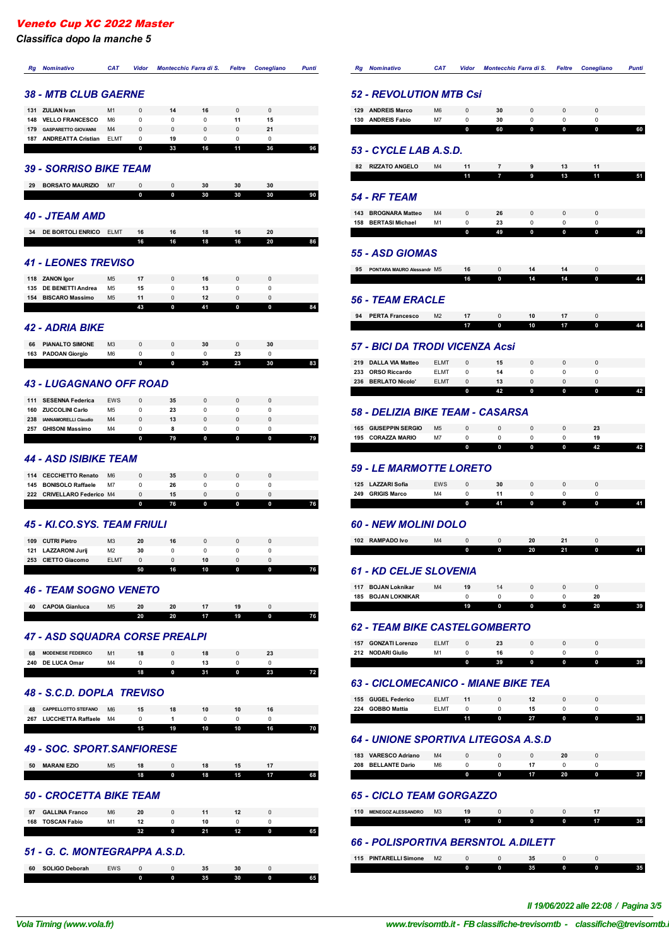*Classifica dopo la manche 5*

| Rg<br><b>Nominativo</b>                                             | <b>CAT</b>           | <b>Vidor</b>     | Montecchio Farra di S. |                     | Feltre           | <b>Conegliano</b> | <b>Punti</b> |
|---------------------------------------------------------------------|----------------------|------------------|------------------------|---------------------|------------------|-------------------|--------------|
| <b>38 - MTB CLUB GAERNE</b>                                         |                      |                  |                        |                     |                  |                   |              |
|                                                                     |                      |                  |                        |                     |                  |                   |              |
| 131<br><b>ZULIAN Ivan</b><br>148<br><b>VELLO FRANCESCO</b>          | M1<br>M <sub>6</sub> | 0<br>0           | 14<br>0                | 16<br>0             | 0<br>11          | 0<br>15           |              |
| 179<br><b>GASPARETTO GIOVANNI</b>                                   | M <sub>4</sub>       | 0                | 0                      | 0                   | 0                | 21                |              |
| 187<br><b>ANDREATTA Cristian</b>                                    | <b>ELMT</b>          | 0                | 19                     | 0                   | $\Omega$         | $\Omega$          |              |
|                                                                     |                      | 0                | 33                     | 16                  | 11               | 36                | 96           |
| 39 - SORRISO BIKE TEAM                                              |                      |                  |                        |                     |                  |                   |              |
| <b>BORSATO MAURIZIO</b><br>29                                       | M7                   | 0                | 0                      | 30                  | 30               | 30                |              |
|                                                                     |                      | 0                | 0                      | 30                  | 30               | 30                | 90           |
| <b>40 - JTEAM AMD</b>                                               |                      |                  |                        |                     |                  |                   |              |
| DE BORTOLI ENRICO<br>34                                             | <b>ELMT</b>          | 16               | 16                     | 18                  | 16               | 20                |              |
|                                                                     |                      | 16               | 16                     | 18                  | 16               | 20                | 86           |
| <b>41 - LEONES TREVISO</b>                                          |                      |                  |                        |                     |                  |                   |              |
| 118<br><b>ZANON Igor</b>                                            | M <sub>5</sub>       | 17               | 0                      | 16                  | 0                | 0                 |              |
| 135<br><b>DE BENETTI Andrea</b>                                     | M <sub>5</sub>       | 15               | 0                      | 13                  | 0                | 0                 |              |
| 154<br><b>BISCARO Massimo</b>                                       | M <sub>5</sub>       | 11<br>43         | $\mathbf 0$<br>0       | 12<br>41            | $\mathbf 0$<br>0 | 0<br>0            | 84           |
|                                                                     |                      |                  |                        |                     |                  |                   |              |
| <b>42 - ADRIA BIKE</b>                                              |                      |                  |                        |                     |                  |                   |              |
| <b>PIANALTO SIMONE</b><br>66                                        | M <sub>3</sub>       | 0                | 0                      | 30                  | 0                | 30                |              |
| <b>PADOAN Giorgio</b><br>163                                        | M <sub>6</sub>       | $\Omega$<br>0    | 0<br>0                 | 0<br>30             | 23<br>23         | 0<br>30           | 83           |
|                                                                     |                      |                  |                        |                     |                  |                   |              |
| 43 - LUGAGNANO OFF ROAD                                             |                      |                  |                        |                     |                  |                   |              |
| 111<br><b>SESENNA Federica</b>                                      | EWS                  | 0                | 35                     | 0                   | 0                | 0                 |              |
| 160<br><b>ZUCCOLINI Carlo</b>                                       | M <sub>5</sub>       | 0                | 23                     | 0                   | 0                | 0                 |              |
| 238<br><b>IANNAMORELLI Claudio</b><br>257<br><b>GHISONI Massimo</b> | M <sub>4</sub><br>M4 | $\mathbf 0$<br>0 | 13<br>8                | $\overline{0}$<br>0 | $\mathbf 0$<br>0 | $\mathbf 0$<br>0  |              |
|                                                                     |                      | 0                | 79                     | 0                   | 0                | 0                 | 79           |
|                                                                     |                      |                  |                        |                     |                  |                   |              |
| <b>44 - ASD ISIBIKE TEAM</b>                                        |                      |                  |                        |                     |                  |                   |              |
| 114<br><b>CECCHETTO Renato</b>                                      | M <sub>6</sub>       | 0                | 35                     | $\mathbf 0$         | $\Omega$         | $\mathbf 0$       |              |
| 145<br><b>BONISOLO Raffaele</b>                                     | M7                   | 0                | 26                     | 0                   | 0                | 0                 |              |
| 222<br><b>CRIVELLARO Federico M4</b>                                |                      | 0<br>0           | 15<br>76               | 0<br>0              | 0<br>0           | 0<br>0            | 76           |
|                                                                     |                      |                  |                        |                     |                  |                   |              |
| <b>45 - KI.CO.SYS. TEAM FRIULI</b>                                  |                      |                  |                        |                     |                  |                   |              |
| 109 CUTRI Pietro                                                    | M <sub>3</sub>       | 20               | 16                     | 0                   | 0                | 0                 |              |
| 121<br><b>LAZZARONI Jurij</b>                                       | M <sub>2</sub>       | 30               | 0                      | 0                   | 0                | 0                 |              |
| 253 CIETTO Giacomo                                                  | <b>ELMT</b>          | 0<br>50          | 0<br>16                | 10<br>10            | 0<br>0           | $\pmb{0}$<br>0    | 76           |
| <b>46 - TEAM SOGNO VENETO</b>                                       |                      |                  |                        |                     |                  |                   |              |
| 40<br><b>CAPOIA Gianluca</b>                                        | M <sub>5</sub>       | 20               | 20                     | 17                  | 19               | $\mathbf 0$       |              |
|                                                                     |                      | 20               | 20                     | 17                  | 19               | 0                 | 76           |
| 47 - ASD SQUADRA CORSE PREALPI                                      |                      |                  |                        |                     |                  |                   |              |
| 68<br><b>MODENESE FEDERICO</b>                                      | M <sub>1</sub>       | 18               | 0                      | 18                  | 0                | 23                |              |
| 240<br>DE LUCA Omar                                                 | M4                   | 0                | 0                      | 13                  | 0                | 0                 |              |
|                                                                     |                      | 18               | 0                      | 31                  | 0                | 23                | 72           |
| 48 - S.C.D. DOPLA TREVISO                                           |                      |                  |                        |                     |                  |                   |              |
| 48<br><b>CAPPELLOTTO STEFANO</b>                                    | M <sub>6</sub>       | 15               | 18                     | 10                  | 10               | 16                |              |
| 267<br><b>LUCCHETTA Raffaele</b>                                    | M4                   | 0                | 1                      | 0                   | 0                | 0                 |              |
|                                                                     |                      | 15               | 19                     | 10                  | 10               | 16                | 70           |
| <b>49 - SOC. SPORT.SANFIORESE</b>                                   |                      |                  |                        |                     |                  |                   |              |
| 50<br><b>MARANI EZIO</b>                                            | M <sub>5</sub>       | 18               | 0                      | 18                  | 15               | 17                |              |
|                                                                     |                      | 18               | 0                      | 18                  | 15               | 17                | 68           |
| <b>50 - CROCETTA BIKE TEAM</b>                                      |                      |                  |                        |                     |                  |                   |              |
| 97<br><b>GALLINA Franco</b>                                         | M <sub>6</sub>       | 20               | 0                      | 11                  | 12               | $\mathbf 0$       |              |
| 168<br><b>TOSCAN Fabio</b>                                          | M1                   | 12<br>32         | 0<br>0                 | 10<br>21            | 0<br>12          | 0<br>$\pmb{0}$    | 65           |
|                                                                     |                      |                  |                        |                     |                  |                   |              |
| 51 - G. C. MONTEGRAPPA A.S.D.                                       |                      |                  |                        |                     |                  |                   |              |
| 60<br><b>SOLIGO Deborah</b>                                         | EWS                  | 0                | 0                      | 35                  | 30               | 0                 |              |
|                                                                     |                      | 0                | 0                      | 35                  | 30               | 0                 | 65           |

| Rg<br><b>Nominativo</b>                                      | <b>CAT</b>                 | Vidor       | Montecchio Farra di S. |                                       | Feltre  | <b>Conegliano</b> | Punti |  |  |  |  |  |
|--------------------------------------------------------------|----------------------------|-------------|------------------------|---------------------------------------|---------|-------------------|-------|--|--|--|--|--|
| <b>52 - REVOLUTION MTB Csi</b>                               |                            |             |                        |                                       |         |                   |       |  |  |  |  |  |
| 129 ANDREIS Marco                                            | M <sub>6</sub>             | 0           | 30                     | 0                                     | 0       | $\pmb{0}$         |       |  |  |  |  |  |
| 130<br><b>ANDREIS Fabio</b>                                  | M7                         | 0<br>0      | 30<br>60               | 0<br>0                                | 0<br>0  | $\mathbf 0$<br>0  | 60    |  |  |  |  |  |
|                                                              |                            |             |                        |                                       |         |                   |       |  |  |  |  |  |
| 53 - CYCLE LAB A.S.D.                                        |                            |             |                        |                                       |         |                   |       |  |  |  |  |  |
| 82<br><b>RIZZATO ANGELO</b>                                  | M4                         | 11          | 7                      | 9                                     | 13      | 11                |       |  |  |  |  |  |
|                                                              |                            | 11          | 7                      | 9                                     | 13      | 11                | 51    |  |  |  |  |  |
| <b>54 - RF TEAM</b>                                          |                            |             |                        |                                       |         |                   |       |  |  |  |  |  |
| 143 BROGNARA Matteo                                          | M4                         | 0           | 26                     | 0                                     | 0       | $\mathbf 0$       |       |  |  |  |  |  |
| <b>BERTASI Michael</b><br>158                                | M1                         | 0           | 23                     | 0                                     | 0       | $\mathbf 0$       |       |  |  |  |  |  |
| <b>55 - ASD GIOMAS</b>                                       |                            | 0           | 49                     | 0                                     | 0       | 0                 | 49    |  |  |  |  |  |
| 95<br>PONTARA MAURO Alessandr M5                             |                            | 16          | 0                      | 14                                    | 14      | $\mathbf 0$       |       |  |  |  |  |  |
|                                                              |                            | 16          | 0                      | 14                                    | 14      | 0                 | 44    |  |  |  |  |  |
|                                                              |                            |             |                        |                                       |         |                   |       |  |  |  |  |  |
| <i><b>56 - TEAM ERACLE</b></i>                               |                            |             |                        |                                       |         |                   |       |  |  |  |  |  |
| 94<br><b>PERTA Francesco</b>                                 | M <sub>2</sub>             | 17          | 0                      | 10                                    | 17      | $\mathbf 0$       |       |  |  |  |  |  |
|                                                              |                            | 17          | 0                      | 10                                    | 17      | 0                 | 44    |  |  |  |  |  |
| 57 - BICI DA TRODI VICENZA Acsi                              |                            |             |                        |                                       |         |                   |       |  |  |  |  |  |
| 219 DALLA VIA Matteo                                         | <b>ELMT</b>                | 0           | 15                     | 0                                     | 0       | $\mathbf 0$       |       |  |  |  |  |  |
| 233<br><b>ORSO Riccardo</b><br>236 BERLATO Nicolo'           | <b>ELMT</b><br><b>ELMT</b> | 0<br>0      | 14<br>13               | 0<br>0                                | 0<br>0  | 0<br>$\mathbf 0$  |       |  |  |  |  |  |
|                                                              |                            | 0           | 42                     | 0                                     | 0       | 0                 | 42    |  |  |  |  |  |
| 58 - DELIZIA BIKE TEAM - CASARSA                             |                            |             |                        |                                       |         |                   |       |  |  |  |  |  |
| <b>GIUSEPPIN SERGIO</b><br>165                               | M <sub>5</sub>             | $\mathbf 0$ | $\mathbf 0$            | 0                                     | 0       | 23                |       |  |  |  |  |  |
| 195<br><b>CORAZZA MARIO</b>                                  | M7                         | 0           | 0                      | 0                                     | 0       | 19                |       |  |  |  |  |  |
| <i><b>59 - LE MARMOTTE LORETO</b></i>                        |                            | 0           | 0                      | 0                                     | 0       | 42                | 42    |  |  |  |  |  |
|                                                              |                            |             |                        |                                       |         | $\mathbf 0$       |       |  |  |  |  |  |
| 125 LAZZARI Sofia<br>249<br><b>GRIGIS Marco</b>              | <b>EWS</b><br>M4           | 0<br>0      | 30<br>11               | 0<br>0                                | 0<br>0  | 0                 |       |  |  |  |  |  |
|                                                              |                            | 0           | 41                     | 0                                     | 0       | 0                 | 41    |  |  |  |  |  |
| <b>60 - NEW MOLINI DOLO</b>                                  |                            |             |                        |                                       |         |                   |       |  |  |  |  |  |
| <b>RAMPADO Ivo</b><br>102                                    | M4                         | 0           | 0                      | 20                                    | 21      | 0                 |       |  |  |  |  |  |
|                                                              |                            | 0           | 0                      | 20                                    | 21      | 0                 | 41    |  |  |  |  |  |
| <b>61 - KD CELJE SLOVENIA</b>                                |                            |             |                        |                                       |         |                   |       |  |  |  |  |  |
|                                                              |                            |             |                        |                                       |         |                   |       |  |  |  |  |  |
| <b>BOJAN Loknikar</b><br>117<br>185<br><b>BOJAN LOKNIKAR</b> | M <sub>4</sub>             | 19<br>0     | 14<br>0                | 0<br>0                                | 0<br>0  | $\pmb{0}$<br>20   |       |  |  |  |  |  |
|                                                              |                            | 19          | 0                      | 0                                     | 0       | 20                | 39    |  |  |  |  |  |
|                                                              |                            |             |                        |                                       |         |                   |       |  |  |  |  |  |
| <b>62 - TEAM BIKE CASTELGOMBERTO</b>                         |                            |             |                        |                                       |         |                   |       |  |  |  |  |  |
| 157 GONZATI Lorenzo                                          | <b>ELMT</b>                | 0           | 23                     | 0                                     | 0       | $\pmb{0}$         |       |  |  |  |  |  |
| 212<br><b>NODARI Giulio</b>                                  | M1                         | 0<br>0      | 16<br>39               | 0<br>0                                | 0<br>0  | 0<br>0            | 39    |  |  |  |  |  |
|                                                              |                            |             |                        |                                       |         |                   |       |  |  |  |  |  |
| 63 - CICLOMECANICO - MIANE BIKE TEA                          |                            |             |                        |                                       |         |                   |       |  |  |  |  |  |
| 155<br><b>GUGEL Federico</b>                                 | <b>ELMT</b>                | 11          | 0                      | 12                                    | 0       | $\mathbf 0$       |       |  |  |  |  |  |
| 224<br><b>GOBBO Mattia</b>                                   | ELMT                       | 0<br>11     | 0<br>0                 | 15<br>27                              | 0<br>0  | 0<br>0            | 38    |  |  |  |  |  |
| <b>64 - UNIONE SPORTIVA LITEGOSA A.S.D</b>                   |                            |             |                        |                                       |         |                   |       |  |  |  |  |  |
|                                                              |                            |             |                        |                                       |         | $\pmb{0}$         |       |  |  |  |  |  |
| 183 VARESCO Adriano<br>208<br><b>BELLANTE Dario</b>          | M4<br>M <sub>6</sub>       | 0<br>0      | $\pmb{0}$<br>0         | 0<br>17                               | 20<br>0 | 0                 |       |  |  |  |  |  |
|                                                              |                            | 0           | 0                      | 17                                    | 20      | 0                 | 37    |  |  |  |  |  |
| <b>65 - CICLO TEAM GORGAZZO</b>                              |                            |             |                        |                                       |         |                   |       |  |  |  |  |  |
|                                                              | M <sub>3</sub>             |             |                        |                                       |         |                   |       |  |  |  |  |  |
| 110<br><b>MENEGOZ ALESSANDRO</b>                             |                            | 19<br>19    | 0<br>0                 | 0<br>0                                | 0<br>0  | 17<br>17          | 36    |  |  |  |  |  |
| <b>66 - POLISPORTIVA BERSNTOL A.DILETT</b>                   |                            |             |                        |                                       |         |                   |       |  |  |  |  |  |
| 115 PINTARELLI Simone                                        | M <sub>2</sub>             | 0           | 0                      | 35                                    | 0       | 0                 |       |  |  |  |  |  |
|                                                              |                            | 0           | 0                      | 35                                    | 0       | 0                 | 35    |  |  |  |  |  |
|                                                              |                            |             |                        |                                       |         |                   |       |  |  |  |  |  |
|                                                              |                            |             |                        | Il 19/06/2022 alle 22:08 / Pagina 3/5 |         |                   |       |  |  |  |  |  |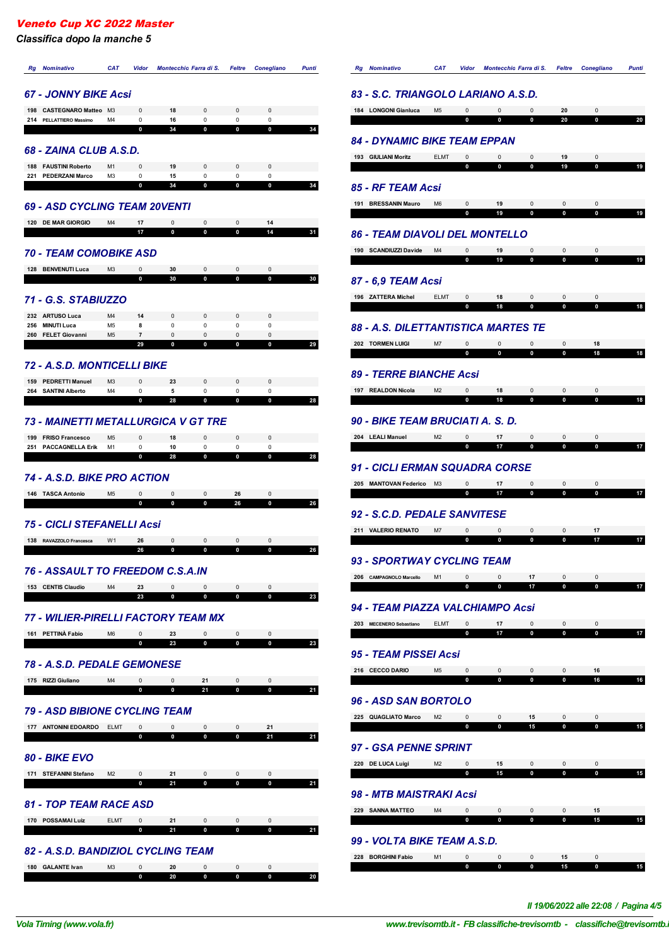*Classifica dopo la manche 5*

| <b>Rg</b> Nominativo                                | <b>CAT</b>           | <b>Vidor</b>                  | Montecchio Farra di S.     |                                    | Feltre                      | <b>Conegliano</b>          | <b>Punti</b> | <b>Rg</b> Nominativo                        | <b>CAT</b>     | Vidor                      | Montecchio Farra di S. |                             | <b>Feltre</b>               | <b>Conegliano</b>          | <b>Punti</b> |
|-----------------------------------------------------|----------------------|-------------------------------|----------------------------|------------------------------------|-----------------------------|----------------------------|--------------|---------------------------------------------|----------------|----------------------------|------------------------|-----------------------------|-----------------------------|----------------------------|--------------|
| <b>67 - JONNY BIKE Acsi</b>                         |                      |                               |                            |                                    |                             |                            |              | 83 - S.C. TRIANGOLO LARIANO A.S.D.          |                |                            |                        |                             |                             |                            |              |
| 198 CASTEGNARO Matteo M3<br>214 PELLATTIERO Massimo |                      | $\Omega$                      | 18                         | $\Omega$                           | $\mathbf 0$                 | 0                          |              | 184 LONGONI Gianluca                        | M <sub>5</sub> | 0<br>$\mathbf{0}$          | 0<br>$\mathbf{0}$      | $\Omega$                    | 20                          | $^{\circ}$                 |              |
|                                                     | M <sub>4</sub>       | $\mathbf 0$<br>$\mathbf 0$    | 16<br>34                   | $\mathbf 0$<br>$\mathbf 0$         | $\mathsf 0$<br>$\mathbf 0$  | $\mathsf 0$<br>$\mathbf 0$ | 34           |                                             |                |                            |                        | $\mathbf 0$                 | 20                          | $\mathbf 0$                | 20           |
| 68 - ZAINA CLUB A.S.D.                              |                      |                               |                            |                                    |                             |                            |              | <b>84 - DYNAMIC BIKE TEAM EPPAN</b>         |                |                            |                        |                             |                             |                            |              |
| 188 FAUSTINI Roberto                                | M <sub>1</sub>       | $\mathbf 0$                   | 19                         | $\mathbf 0$                        | 0                           | 0                          |              | 193 GIULIANI Moritz                         | <b>ELMT</b>    | $\mathbf 0$<br>0           | 0<br>$\mathbf 0$       | $\Omega$<br>0               | 19<br>19                    | $\Omega$<br>$\mathbf 0$    | 19           |
| 221 PEDERZANI Marco                                 | M3                   | 0<br>$\mathbf 0$              | 15<br>34                   | $\mathsf 0$<br>$\mathbf 0$         | $\mathsf 0$<br>$\mathbf 0$  | $\mathsf 0$<br>$\mathbf 0$ | 34           | 85 - RF TEAM Acsi                           |                |                            |                        |                             |                             |                            |              |
| <b>69 - ASD CYCLING TEAM 20VENTI</b>                |                      |                               |                            |                                    |                             |                            |              | 191 BRESSANIN Mauro                         | M <sub>6</sub> | 0                          | 19                     | 0                           | $\mathbf 0$                 | 0                          |              |
| 120 DE MAR GIORGIO                                  | M4                   | 17                            | $\mathsf 0$                | 0                                  | $\mathbf 0$                 | 14                         |              |                                             |                | $\mathbf 0$                | 19                     | $\mathbf{o}$                | 0                           | $\mathbf 0$                | 19           |
|                                                     |                      | 17                            | $\bf{0}$                   | 0                                  | 0                           | 14                         | 31           | <b>86 - TEAM DIAVOLI DEL MONTELLO</b>       |                |                            |                        |                             |                             |                            |              |
| <b>70 - TEAM COMOBIKE ASD</b>                       |                      |                               |                            |                                    |                             |                            |              | 190 SCANDIUZZI Davide M4                    |                | 0<br>$\mathbf 0$           | 19<br>19               | 0<br>$\bf{0}$               | 0<br>0                      | $\mathbf 0$<br>$\mathbf 0$ | 19           |
| 128 BENVENUTI Luca                                  | ΜЗ                   | 0<br>$\mathbf 0$              | 30<br>30                   | 0<br>$\mathbf 0$                   | 0<br>$\mathbf 0$            | 0<br>0                     | 30           |                                             |                |                            |                        |                             |                             |                            |              |
|                                                     |                      |                               |                            |                                    |                             |                            |              | 87 - 6,9 TEAM Acsi<br>196 ZATTERA Michel    | <b>ELMT</b>    | $\mathsf 0$                | 18                     | 0                           | $\mathbf 0$                 | 0                          |              |
| 71 - G.S. STABIUZZO                                 |                      |                               |                            |                                    |                             |                            |              |                                             |                | $\mathbf 0$                | 18                     | $\bf{0}$                    |                             | 0                          | 18           |
| 232 ARTUSO Luca<br>256 MINUTI Luca                  | M4<br>M <sub>5</sub> | 14<br>8                       | $\Omega$<br>$\mathbf 0$    | $\Omega$<br>0                      | 0<br>0                      | 0<br>0                     |              | 88 - A.S. DILETTANTISTICA MARTES TE         |                |                            |                        |                             |                             |                            |              |
| 260 FELET Giovanni                                  | M <sub>5</sub>       | $\overline{7}$<br>29          | $\mathbf 0$<br>$\mathbf 0$ | $\mathsf{O}\xspace$<br>$\mathbf 0$ | $\mathsf 0$<br>$\mathbf 0$  | $\mathbf 0$<br>$\mathbf 0$ | 29           | 202 TORMEN LUIGI                            | M7             | $\mathbf 0$                | $\mathsf 0$            | $\Omega$                    | 0                           | 18                         |              |
| 72 - A.S.D. MONTICELLI BIKE                         |                      |                               |                            |                                    |                             |                            |              |                                             |                | 0                          | 0                      |                             | $\mathbf{0}$                | 18                         | 18           |
| 159 PEDRETTI Manuel                                 | M <sub>3</sub>       | 0                             | 23                         | $\mathbf 0$                        | $\pmb{0}$                   | 0                          |              | <b>89 - TERRE BIANCHE Acsi</b>              |                |                            |                        |                             |                             |                            |              |
| 264 SANTINI Alberto                                 | M4                   | 0<br>$\mathbf 0$              | 5<br>28                    | $\mathsf 0$<br>$\mathbf 0$         | $\mathsf 0$<br>$\mathbf 0$  | 0<br>$\mathbf 0$           | 28           | 197 REALDON Nicola                          | M <sub>2</sub> | 0<br>$\mathbf 0$           | 18<br>18               | 0<br>$\mathbf{0}$           | 0<br>$\mathbf{0}$           | 0<br>$\mathbf 0$           | 18           |
| <b>73 - MAINETTI METALLURGICA V GT TRE</b>          |                      |                               |                            |                                    |                             |                            |              | 90 - BIKE TEAM BRUCIATI A. S. D.            |                |                            |                        |                             |                             |                            |              |
| 199 FRISO Francesco                                 | M <sub>5</sub>       | 0                             | 18                         | $\mathbf 0$                        | 0                           | 0                          |              | 204 LEALI Manuel                            | M <sub>2</sub> | 0                          | 17                     | $\mathbf 0$                 | $\mathsf 0$                 | $\Omega$                   |              |
| 251 PACCAGNELLA Erik                                | M <sub>1</sub>       | $\mathbf 0$<br>$\mathbf 0$    | 10<br>28                   | 0<br>$\mathbf 0$                   | $\mathbf 0$<br>$\mathbf 0$  | $\mathbf 0$<br>$\mathbf 0$ | 28           |                                             |                | $\mathbf 0$                | 17                     | 0                           | $\mathbf 0$                 | $\mathbf 0$                |              |
|                                                     |                      |                               |                            |                                    |                             |                            |              | 91 - CICLI ERMAN SQUADRA CORSE              |                |                            |                        |                             |                             |                            |              |
| 74 - A.S.D. BIKE PRO ACTION                         |                      |                               |                            |                                    |                             |                            |              | 205 MANTOVAN Federico M3                    |                | $\mathbf 0$                | 17                     | $\mathbf 0$                 | $\mathsf 0$                 | 0                          |              |
| 146 TASCA Antonio                                   | M <sub>5</sub>       | $\mathbf{0}$<br>$\mathbf 0$   | 0<br>$\mathbf 0$           | 0<br>$\mathbf 0$                   | 26<br>26                    | 0<br>$\mathbf 0$           | 26           |                                             |                | $\mathbf 0$                | 17                     | 0                           | $\mathbf 0$                 | $\mathbf 0$                | 17           |
| <b>75 - CICLI STEFANELLI Acsi</b>                   |                      |                               |                            |                                    |                             |                            |              | 92 - S.C.D. PEDALE SANVITESE                |                |                            |                        |                             |                             |                            |              |
| 138 RAVAZZOLO Francesca                             | W <sub>1</sub>       | 26                            | 0                          | 0                                  | 0                           | 0                          |              | 211 VALERIO RENATO                          | M7             | $\Omega$<br>$\mathbf 0$    | 0<br>$\mathbf 0$       | 0<br>$\mathbf 0$            | 0<br>$\mathbf 0$            | 17<br>17                   | 17           |
|                                                     |                      | 26                            | $\mathbf 0$                | $\mathbf 0$                        | $\mathbf 0$                 | $\bf{0}$                   | 26           | 93 - SPORTWAY CYCLING TEAM                  |                |                            |                        |                             |                             |                            |              |
| <b>76 - ASSAULT TO FREEDOM C.S.A.IN</b>             |                      |                               |                            |                                    |                             |                            |              | 206 CAMPAGNOLO Marcello                     | M1             | 0                          | 0                      | 17                          | 0                           | $\mathbf 0$                |              |
| 153 CENTIS Claudio                                  | M4                   | 23<br>23                      | $\mathbf 0$<br>$\mathbf 0$ | $\mathsf 0$<br>$\mathbf 0$         | $\mathbf 0$<br>$\mathbf 0$  | $\mathsf 0$<br>$\mathbf 0$ | 23           |                                             |                | $\mathbf 0$                | $\mathbf 0$            | 17                          | $\mathbf 0$                 | $\mathbf 0$                | 17           |
| <b>77 - WILIER-PIRELLI FACTORY TEAM MX</b>          |                      |                               |                            |                                    |                             |                            |              | 94 - TEAM PIAZZA VALCHIAMPO Acsi            |                |                            |                        |                             |                             |                            |              |
| 161 PETTINÀ Fabio                                   | M <sub>6</sub>       | $\mathsf 0$                   | 23                         | $\mathsf 0$                        | 0                           | $\mathsf{O}\xspace$        |              | 203 MECENERO Sebastiano                     | <b>ELMT</b>    | $\mathsf 0$<br>$\mathbf 0$ | 17<br>17               | 0<br>$\mathbf 0$            | 0<br>$\mathbf 0$            | $\mathbf 0$<br>$\mathbf 0$ | 17           |
|                                                     |                      | 0                             | 23                         | $\mathbf 0$                        | $\mathbf 0$                 | $\mathbf 0$                | 23           |                                             |                |                            |                        |                             |                             |                            |              |
| 78 - A.S.D. PEDALE GEMONESE                         |                      |                               |                            |                                    |                             |                            |              | 95 - TEAM PISSEI Acsi<br>216 CECCO DARIO    |                |                            |                        |                             |                             |                            |              |
| 175 RIZZI Giuliano                                  | M4                   | $\overline{0}$                | $\mathbf 0$                | 21                                 | $\mathbf 0$                 | $\mathsf 0$                |              |                                             | M <sub>5</sub> | 0<br>$\mathbf 0$           | 0<br>$\mathbf 0$       | $\mathbf 0$<br>$\mathbf 0$  | 0<br>$\mathbf 0$            | 16<br>16                   | 16           |
|                                                     |                      | $\mathbf{0}$                  | $\mathbf 0$                | 21                                 | $\mathbf 0$                 | 0                          | 21           | <b>96 - ASD SAN BORTOLO</b>                 |                |                            |                        |                             |                             |                            |              |
| 79 - ASD BIBIONE CYCLING TEAM                       |                      |                               |                            |                                    |                             |                            |              | 225 QUAGLIATO Marco M2                      |                | 0                          | 0                      | 15                          | 0                           | 0                          |              |
| 177 ANTONINI EDOARDO ELMT                           |                      | $\overline{0}$<br>$\mathbf 0$ | $\mathbf 0$<br>$\mathbf 0$ | $\mathbf 0$<br>$\mathbf 0$         | $\mathbf{0}$<br>$\mathbf 0$ | 21<br>21                   | 21           |                                             |                | $\mathbf 0$                | $\mathbf 0$            | 15                          | $\mathbf{0}$                | $\mathbf 0$                | 15           |
| 80 - BIKE EVO                                       |                      |                               |                            |                                    |                             |                            |              | 97 - GSA PENNE SPRINT                       |                |                            |                        |                             |                             |                            |              |
| 171 STEFANINI Stefano                               | M2                   | $\overline{0}$                | 21                         | $\overline{0}$                     | $\overline{0}$              | $\mathbf 0$                |              | 220 DE LUCA Luigi                           | M2             | 0<br>$\mathbf 0$           | 15<br>15               | $\mathbf{0}$<br>$\mathbf 0$ | $\mathbf 0$<br>$\mathbf{0}$ | $^{\circ}$<br>$\mathbf 0$  | 15           |
|                                                     |                      | $\mathbf 0$                   | 21                         | $\mathbf 0$                        | $\mathbf 0$                 | $\mathbf 0$                | 21           |                                             |                |                            |                        |                             |                             |                            |              |
| <b>81 - TOP TEAM RACE ASD</b>                       |                      |                               |                            |                                    |                             |                            |              | 98 - MTB MAISTRAKI Acsi<br>229 SANNA MATTEO | M4             | $\mathsf 0$                | $\mathbf 0$            | $\mathbf 0$                 | $\mathbf 0$                 | 15                         |              |
| 170 POSSAMAI Luiz                                   | ELMT                 | $\mathbf{0}$                  | 21                         | 0                                  | $\mathbf{0}$                | $\overline{\mathbf{0}}$    |              |                                             |                | $\mathbf 0$                | $\mathbf 0$            | $\mathbf 0$                 | $\mathbf 0$                 | 15                         | 15           |
|                                                     |                      | $\mathbf 0$                   | 21                         | $\mathbf 0$                        | $\mathbf 0$                 | $\mathbf 0$                | 21           | 99 - VOLTA BIKE TEAM A.S.D.                 |                |                            |                        |                             |                             |                            |              |
| 82 - A.S.D. BANDIZIOL CYCLING TEAM                  |                      |                               |                            |                                    |                             |                            |              | 228 BORGHINI Fabio                          | M1             | 0                          | $\mathbf 0$            | $\overline{0}$              | 15                          | 0                          |              |
| 180 GALANTE Ivan                                    | M3                   | 0                             | 20                         | $\mathsf 0$                        | $\mathbf{0}$                | 0                          |              |                                             |                | $\mathbf 0$                | $\mathbf 0$            | $\mathbf 0$                 | 15                          | $\mathbf 0$                | 15           |